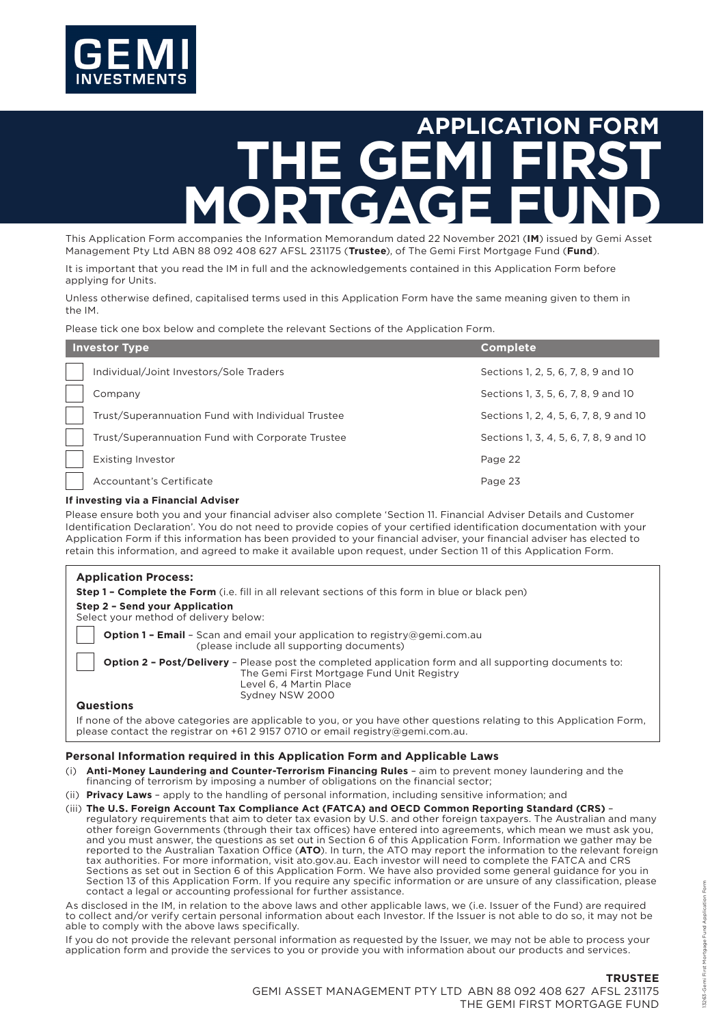

# **ICATION THE GEMI FIRST MORTGAGE FUND**

This Application Form accompanies the Information Memorandum dated 22 November 2021 (**IM**) issued by Gemi Asset Management Pty Ltd ABN 88 092 408 627 AFSL 231175 (**Trustee**), of The Gemi First Mortgage Fund (**Fund**).

It is important that you read the IM in full and the acknowledgements contained in this Application Form before applying for Units.

Unless otherwise defined, capitalised terms used in this Application Form have the same meaning given to them in the IM.

Please tick one box below and complete the relevant Sections of the Application Form.

| <b>Investor Type</b>                              | <b>Complete</b>                        |
|---------------------------------------------------|----------------------------------------|
| Individual/Joint Investors/Sole Traders           | Sections 1, 2, 5, 6, 7, 8, 9 and 10    |
| Company                                           | Sections 1, 3, 5, 6, 7, 8, 9 and 10    |
| Trust/Superannuation Fund with Individual Trustee | Sections 1, 2, 4, 5, 6, 7, 8, 9 and 10 |
| Trust/Superannuation Fund with Corporate Trustee  | Sections 1, 3, 4, 5, 6, 7, 8, 9 and 10 |
| <b>Existing Investor</b>                          | Page 22                                |
| Accountant's Certificate                          | Page 23                                |

#### **If investing via a Financial Adviser**

Please ensure both you and your financial adviser also complete 'Section 11. Financial Adviser Details and Customer Identification Declaration'. You do not need to provide copies of your certified identification documentation with your Application Form if this information has been provided to your financial adviser, your financial adviser has elected to retain this information, and agreed to make it available upon request, under Section 11 of this Application Form.

| <b>Application Process:</b><br><b>Step 1 - Complete the Form</b> (i.e. fill in all relevant sections of this form in blue or black pen)<br>Step 2 - Send your Application<br>Select your method of delivery below: |
|--------------------------------------------------------------------------------------------------------------------------------------------------------------------------------------------------------------------|
| <b>Option 1 - Email</b> - Scan and email your application to registry@gemi.com.au<br>(please include all supporting documents)                                                                                     |
| <b>Option 2 - Post/Delivery</b> - Please post the completed application form and all supporting documents to:<br>The Gemi First Mortgage Fund Unit Registry<br>Level 6, 4 Martin Place<br>Sydney NSW 2000          |
| <b>Questions</b>                                                                                                                                                                                                   |
| If none of the above categories are applicable to you, or you have other questions relating to this Application Form,<br>please contact the registrar on $+61291570710$ or email registry@gemi.com.au.             |

#### **Personal Information required in this Application Form and Applicable Laws**

- (i) **Anti-Money Laundering and Counter-Terrorism Financing Rules** aim to prevent money laundering and the financing of terrorism by imposing a number of obligations on the financial sector;
- (ii) **Privacy Laws** apply to the handling of personal information, including sensitive information; and
- (iii) **The U.S. Foreign Account Tax Compliance Act (FATCA) and OECD Common Reporting Standard (CRS)** regulatory requirements that aim to deter tax evasion by U.S. and other foreign taxpayers. The Australian and many other foreign Governments (through their tax offices) have entered into agreements, which mean we must ask you, and you must answer, the questions as set out in Section 6 of this Application Form. Information we gather may be reported to the Australian Taxation Office (**ATO**). In turn, the ATO may report the information to the relevant foreign tax authorities. For more information, visit [ato.gov.au](http://ato.gov.au). Each investor will need to complete the FATCA and CRS Sections as set out in Section 6 of this Application Form. We have also provided some general guidance for you in Section 13 of this Application Form. If you require any specific information or are unsure of any classification, please contact a legal or accounting professional for further assistance.

As disclosed in the IM, in relation to the above laws and other applicable laws, we (i.e. Issuer of the Fund) are required to collect and/or verify certain personal information about each Investor. If the Issuer is not able to do so, it may not be able to comply with the above laws specifically.

If you do not provide the relevant personal information as requested by the Issuer, we may not be able to process your application form and provide the services to you or provide you with information about our products and services.

### **TRUSTEE**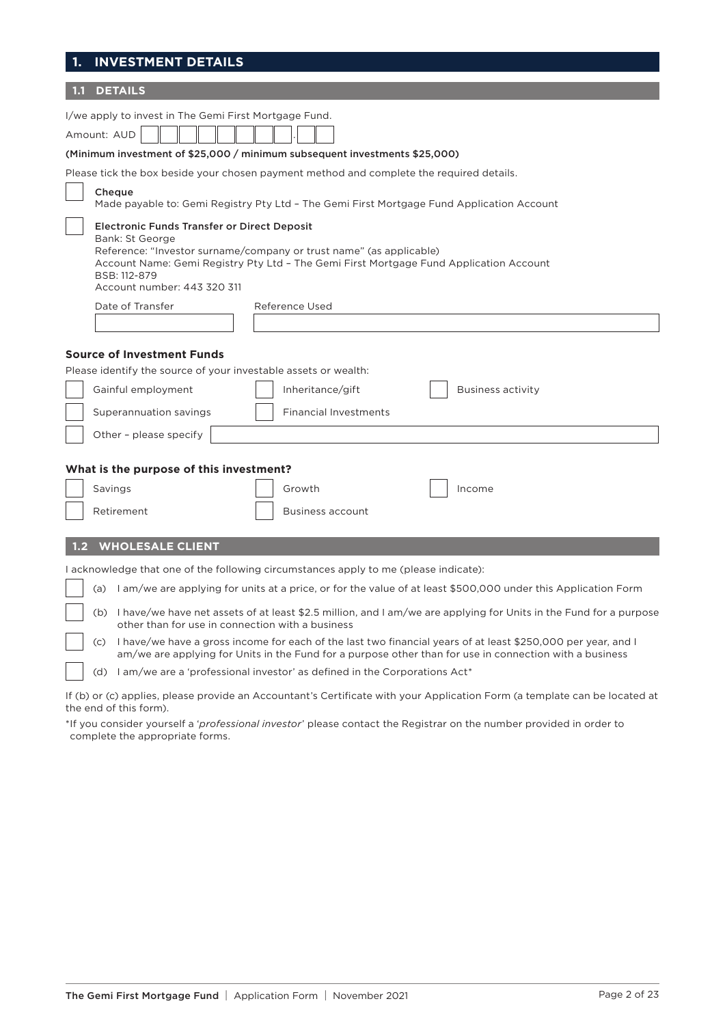## **1. INVESTMENT DETAILS**

| <b>DETAILS</b>                                                                                                                                                                                                                                                                        |  |  |  |  |
|---------------------------------------------------------------------------------------------------------------------------------------------------------------------------------------------------------------------------------------------------------------------------------------|--|--|--|--|
| I/we apply to invest in The Gemi First Mortgage Fund.                                                                                                                                                                                                                                 |  |  |  |  |
| Amount: AUD                                                                                                                                                                                                                                                                           |  |  |  |  |
| (Minimum investment of \$25,000 / minimum subsequent investments \$25,000)                                                                                                                                                                                                            |  |  |  |  |
| Please tick the box beside your chosen payment method and complete the required details.                                                                                                                                                                                              |  |  |  |  |
| Cheque<br>Made payable to: Gemi Registry Pty Ltd - The Gemi First Mortgage Fund Application Account                                                                                                                                                                                   |  |  |  |  |
| <b>Electronic Funds Transfer or Direct Deposit</b><br>Bank: St George<br>Reference: "Investor surname/company or trust name" (as applicable)<br>Account Name: Gemi Registry Pty Ltd - The Gemi First Mortgage Fund Application Account<br>BSB: 112-879<br>Account number: 443 320 311 |  |  |  |  |
| Date of Transfer<br>Reference Used                                                                                                                                                                                                                                                    |  |  |  |  |
|                                                                                                                                                                                                                                                                                       |  |  |  |  |
| <b>Source of Investment Funds</b><br>Please identify the source of your investable assets or wealth:<br>Gainful employment<br>Inheritance/gift<br><b>Business activity</b><br><b>Financial Investments</b><br>Superannuation savings<br>Other - please specify                        |  |  |  |  |
| What is the purpose of this investment?<br>Savings<br>Growth<br>Income                                                                                                                                                                                                                |  |  |  |  |
|                                                                                                                                                                                                                                                                                       |  |  |  |  |
| Retirement<br><b>Business account</b>                                                                                                                                                                                                                                                 |  |  |  |  |
| <b>WHOLESALE CLIENT</b><br>1.2                                                                                                                                                                                                                                                        |  |  |  |  |
| I acknowledge that one of the following circumstances apply to me (please indicate):                                                                                                                                                                                                  |  |  |  |  |
| (a) lam/we are applying for units at a price, or for the value of at least \$500,000 under this Application Form                                                                                                                                                                      |  |  |  |  |
| (b) I have/we have net assets of at least \$2.5 million, and I am/we are applying for Units in the Fund for a purpose<br>other than for use in connection with a business                                                                                                             |  |  |  |  |
| (c) I have/we have a gross income for each of the last two financial years of at least \$250,000 per year, and I<br>am/we are applying for Units in the Fund for a purpose other than for use in connection with a business                                                           |  |  |  |  |
| (d) $\pm$ l am/we are a 'professional investor' as defined in the Corporations Act*                                                                                                                                                                                                   |  |  |  |  |

If (b) or (c) applies, please provide an Accountant's Certificate with your Application Form (a template can be located at the end of this form).

\*If you consider yourself a '*professional investor*' please contact the Registrar on the number provided in order to complete the appropriate forms.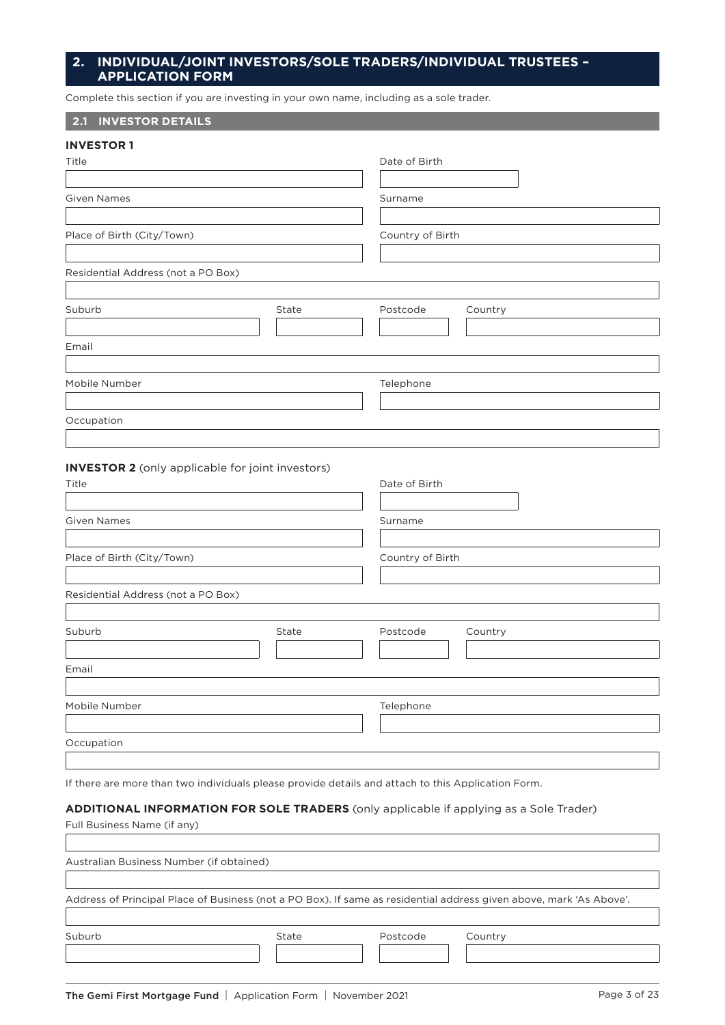### **2. INDIVIDUAL/JOINT INVESTORS/SOLE TRADERS/INDIVIDUAL TRUSTEES – APPLICATION FORM**

Complete this section if you are investing in your own name, including as a sole trader.

### **2.1 INVESTOR DETAILS**

| <b>INVESTOR 1</b>                  |       |                  |         |  |
|------------------------------------|-------|------------------|---------|--|
| Title                              |       | Date of Birth    |         |  |
| <b>Given Names</b>                 |       | Surname          |         |  |
| Place of Birth (City/Town)         |       | Country of Birth |         |  |
| Residential Address (not a PO Box) |       |                  |         |  |
| Suburb                             | State | Postcode         | Country |  |
| Email                              |       |                  |         |  |
| Mobile Number                      |       | Telephone        |         |  |
| Occupation                         |       |                  |         |  |
|                                    |       |                  |         |  |

#### **INVESTOR 2** (only applicable for joint investors)

| Title                              |       | Date of Birth    |         |
|------------------------------------|-------|------------------|---------|
| <b>Given Names</b>                 |       | Surname          |         |
| Place of Birth (City/Town)         |       | Country of Birth |         |
| Residential Address (not a PO Box) |       |                  |         |
| Suburb                             | State | Postcode         | Country |
| Email                              |       |                  |         |
| Mobile Number                      |       | Telephone        |         |
|                                    |       |                  |         |

If there are more than two individuals please provide details and attach to this Application Form.

#### **ADDITIONAL INFORMATION FOR SOLE TRADERS** (only applicable if applying as a Sole Trader)

Full Business Name (if any)

Australian Business Number (if obtained)

Address of Principal Place of Business (not a PO Box). If same as residential address given above, mark 'As Above'.

| Suburb | State | Postcode | Country |
|--------|-------|----------|---------|
|        |       |          |         |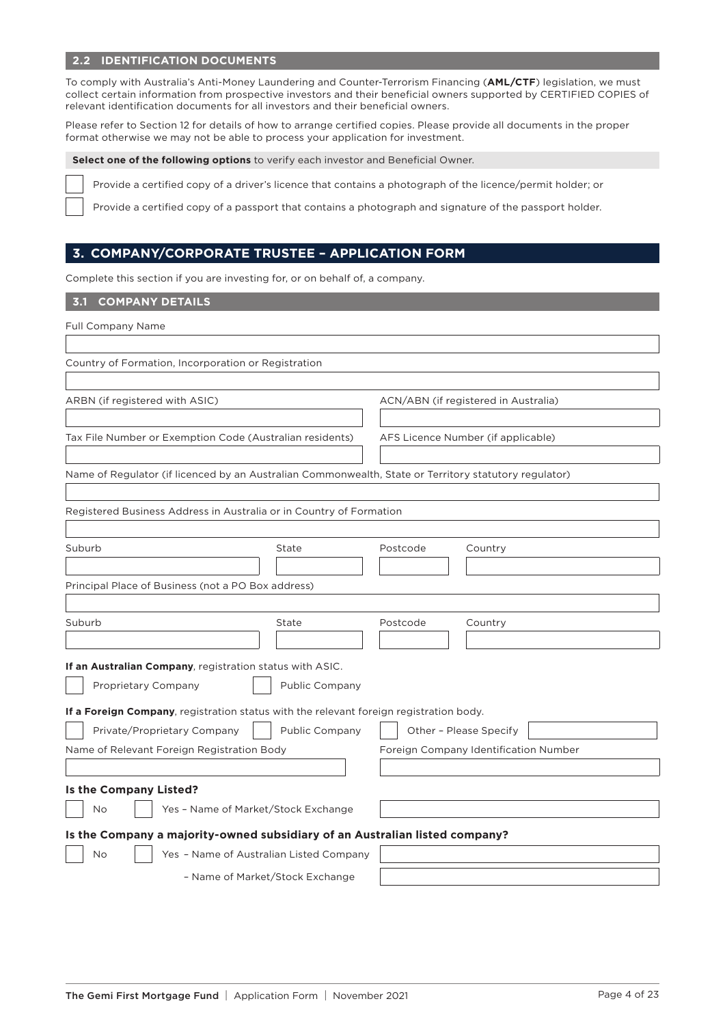### **2.2 IDENTIFICATION DOCUMENTS**

To comply with Australia's Anti-Money Laundering and Counter-Terrorism Financing (**AML/CTF**) legislation, we must collect certain information from prospective investors and their beneficial owners supported by CERTIFIED COPIES of relevant identification documents for all investors and their beneficial owners.

Please refer to Section 12 for details of how to arrange certified copies. Please provide all documents in the proper format otherwise we may not be able to process your application for investment.

**Select one of the following options** to verify each investor and Beneficial Owner.

Provide a certified copy of a driver's licence that contains a photograph of the licence/permit holder; or

Provide a certified copy of a passport that contains a photograph and signature of the passport holder.

### **3. COMPANY/CORPORATE TRUSTEE – APPLICATION FORM**

Complete this section if you are investing for, or on behalf of, a company.

**3.1 COMPANY DETAILS**

Full Company Name

| Country of Formation, Incorporation or Registration                                                   |                                         |          |                                       |  |
|-------------------------------------------------------------------------------------------------------|-----------------------------------------|----------|---------------------------------------|--|
| ARBN (if registered with ASIC)                                                                        |                                         |          | ACN/ABN (if registered in Australia)  |  |
| Tax File Number or Exemption Code (Australian residents)                                              |                                         |          | AFS Licence Number (if applicable)    |  |
| Name of Regulator (if licenced by an Australian Commonwealth, State or Territory statutory regulator) |                                         |          |                                       |  |
| Registered Business Address in Australia or in Country of Formation                                   |                                         |          |                                       |  |
| Suburb                                                                                                | State                                   | Postcode | Country                               |  |
| Principal Place of Business (not a PO Box address)                                                    |                                         |          |                                       |  |
| Suburb                                                                                                | State                                   | Postcode | Country                               |  |
| If an Australian Company, registration status with ASIC.<br>Proprietary Company                       | Public Company                          |          |                                       |  |
| If a Foreign Company, registration status with the relevant foreign registration body.                |                                         |          |                                       |  |
| Private/Proprietary Company                                                                           | Public Company                          |          | Other - Please Specify                |  |
| Name of Relevant Foreign Registration Body                                                            |                                         |          | Foreign Company Identification Number |  |
| Is the Company Listed?                                                                                |                                         |          |                                       |  |
| Yes - Name of Market/Stock Exchange<br>No                                                             |                                         |          |                                       |  |
| Is the Company a majority-owned subsidiary of an Australian listed company?                           |                                         |          |                                       |  |
| No                                                                                                    | Yes - Name of Australian Listed Company |          |                                       |  |
|                                                                                                       | - Name of Market/Stock Exchange         |          |                                       |  |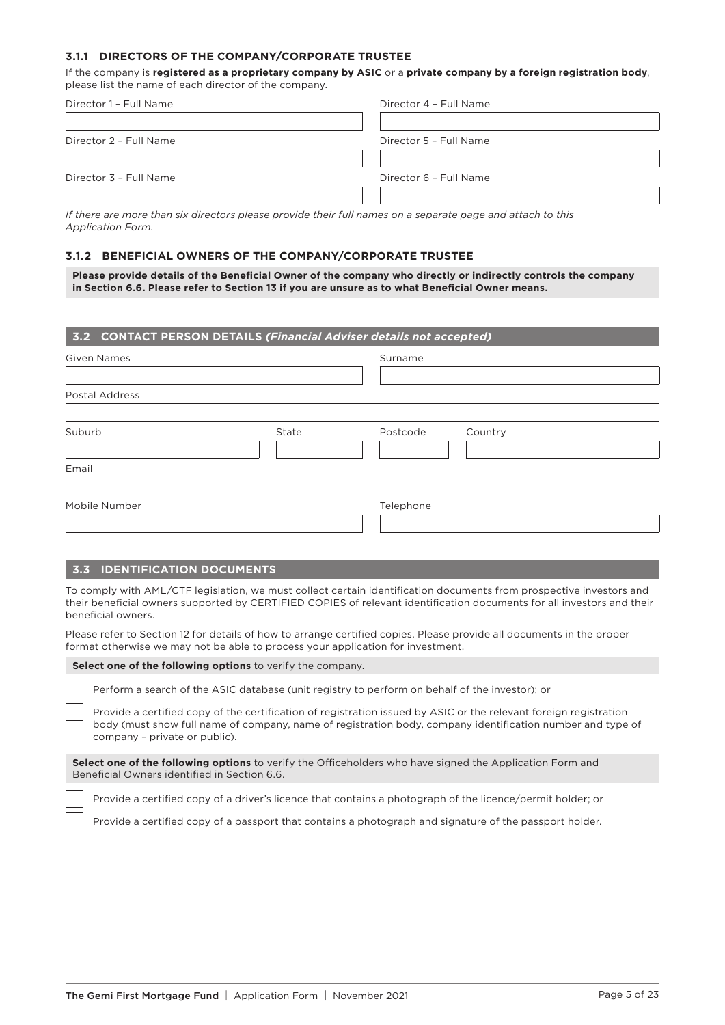#### **3.1.1 DIRECTORS OF THE COMPANY/CORPORATE TRUSTEE**

If the company is **registered as a proprietary company by ASIC** or a **private company by a foreign registration body**, please list the name of each director of the company.

| Director 1 - Full Name | Director 4 - Full Name |
|------------------------|------------------------|
|                        |                        |
| Director 2 - Full Name | Director 5 - Full Name |
|                        |                        |
| Director 3 - Full Name | Director 6 - Full Name |
|                        |                        |

*If there are more than six directors please provide their full names on a separate page and attach to this Application Form.*

#### **3.1.2 BENEFICIAL OWNERS OF THE COMPANY/CORPORATE TRUSTEE**

**Please provide details of the Beneficial Owner of the company who directly or indirectly controls the company in Section 6.6. Please refer to Section 13 if you are unsure as to what Beneficial Owner means.**

| 3.2 CONTACT PERSON DETAILS (Financial Adviser details not accepted) |       |           |         |  |
|---------------------------------------------------------------------|-------|-----------|---------|--|
| <b>Given Names</b>                                                  |       | Surname   |         |  |
| <b>Postal Address</b>                                               |       |           |         |  |
| Suburb                                                              | State | Postcode  | Country |  |
| Email                                                               |       |           |         |  |
| Mobile Number                                                       |       | Telephone |         |  |

### **3.3 IDENTIFICATION DOCUMENTS**

To comply with AML/CTF legislation, we must collect certain identification documents from prospective investors and their beneficial owners supported by CERTIFIED COPIES of relevant identification documents for all investors and their beneficial owners.

Please refer to Section 12 for details of how to arrange certified copies. Please provide all documents in the proper format otherwise we may not be able to process your application for investment.

#### **Select one of the following options** to verify the company.

Perform a search of the ASIC database (unit registry to perform on behalf of the investor); or

Provide a certified copy of the certification of registration issued by ASIC or the relevant foreign registration body (must show full name of company, name of registration body, company identification number and type of company – private or public).

**Select one of the following options** to verify the Officeholders who have signed the Application Form and Beneficial Owners identified in Section 6.6.

Provide a certified copy of a driver's licence that contains a photograph of the licence/permit holder; or

Provide a certified copy of a passport that contains a photograph and signature of the passport holder.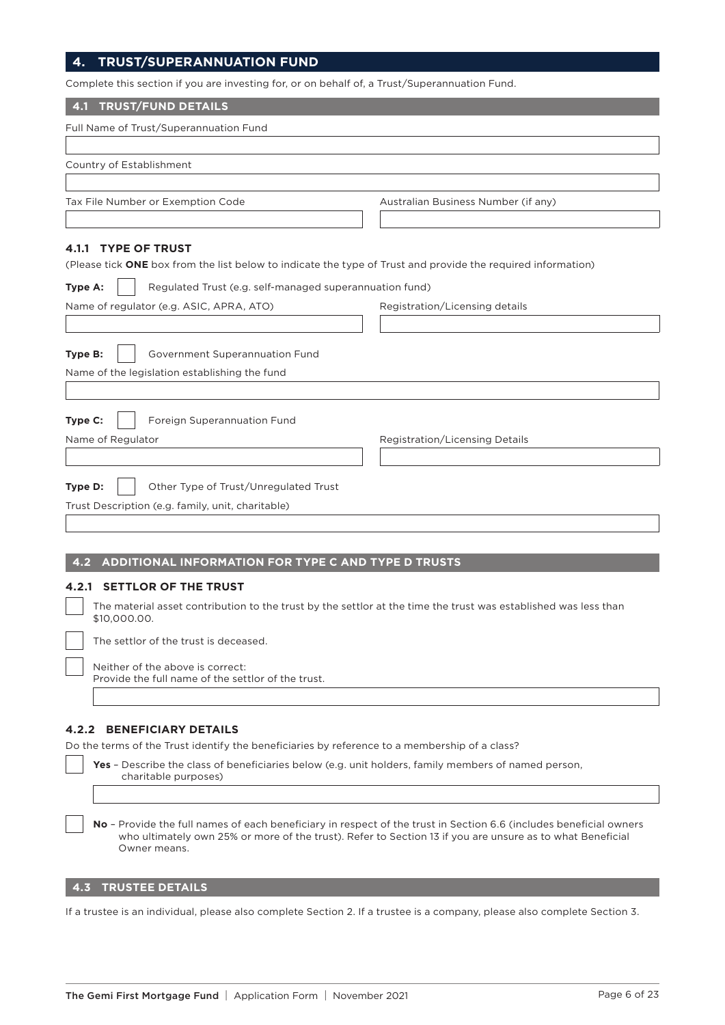### **4. TRUST/SUPERANNUATION FUND**

Complete this section if you are investing for, or on behalf of, a Trust/Superannuation Fund.

| Complete this section in you are investing for, or on behalf or, a must/ superamitation Fund.                                   |                                     |
|---------------------------------------------------------------------------------------------------------------------------------|-------------------------------------|
| <b>TRUST/FUND DETAILS</b><br>4.1                                                                                                |                                     |
| Full Name of Trust/Superannuation Fund                                                                                          |                                     |
|                                                                                                                                 |                                     |
| Country of Establishment                                                                                                        |                                     |
|                                                                                                                                 |                                     |
| Tax File Number or Exemption Code                                                                                               | Australian Business Number (if any) |
|                                                                                                                                 |                                     |
| 4.1.1 TYPE OF TRUST                                                                                                             |                                     |
| (Please tick ONE box from the list below to indicate the type of Trust and provide the required information)                    |                                     |
| Regulated Trust (e.g. self-managed superannuation fund)<br>Type A:                                                              |                                     |
| Name of regulator (e.g. ASIC, APRA, ATO)                                                                                        | Registration/Licensing details      |
|                                                                                                                                 |                                     |
| Type B:<br>Government Superannuation Fund                                                                                       |                                     |
| Name of the legislation establishing the fund                                                                                   |                                     |
|                                                                                                                                 |                                     |
|                                                                                                                                 |                                     |
| Foreign Superannuation Fund<br>Type C:                                                                                          |                                     |
| Name of Regulator                                                                                                               | Registration/Licensing Details      |
|                                                                                                                                 |                                     |
| Type D:<br>Other Type of Trust/Unregulated Trust                                                                                |                                     |
| Trust Description (e.g. family, unit, charitable)                                                                               |                                     |
|                                                                                                                                 |                                     |
|                                                                                                                                 |                                     |
| ADDITIONAL INFORMATION FOR TYPE C AND TYPE D TRUSTS<br>4.2                                                                      |                                     |
| <b>SETTLOR OF THE TRUST</b><br>4.2.1                                                                                            |                                     |
| The material asset contribution to the trust by the settlor at the time the trust was established was less than<br>\$10,000.00. |                                     |
| The settlor of the trust is deceased.                                                                                           |                                     |
| Neither of the above is correct:<br>Provide the full name of the settlor of the trust.                                          |                                     |
|                                                                                                                                 |                                     |
| 4.2.2 BENEFICIARY DETAILS                                                                                                       |                                     |
| Do the terms of the Trust identify the beneficiaries by reference to a membership of a class?                                   |                                     |
| Yes - Describe the class of beneficiaries below (e.g. unit holders, family members of named person,                             |                                     |

charitable purposes)

**No** – Provide the full names of each beneficiary in respect of the trust in Section 6.6 (includes beneficial owners who ultimately own 25% or more of the trust). Refer to Section 13 if you are unsure as to what Beneficial Owner means.

### **4.3 TRUSTEE DETAILS**

If a trustee is an individual, please also complete Section 2. If a trustee is a company, please also complete Section 3.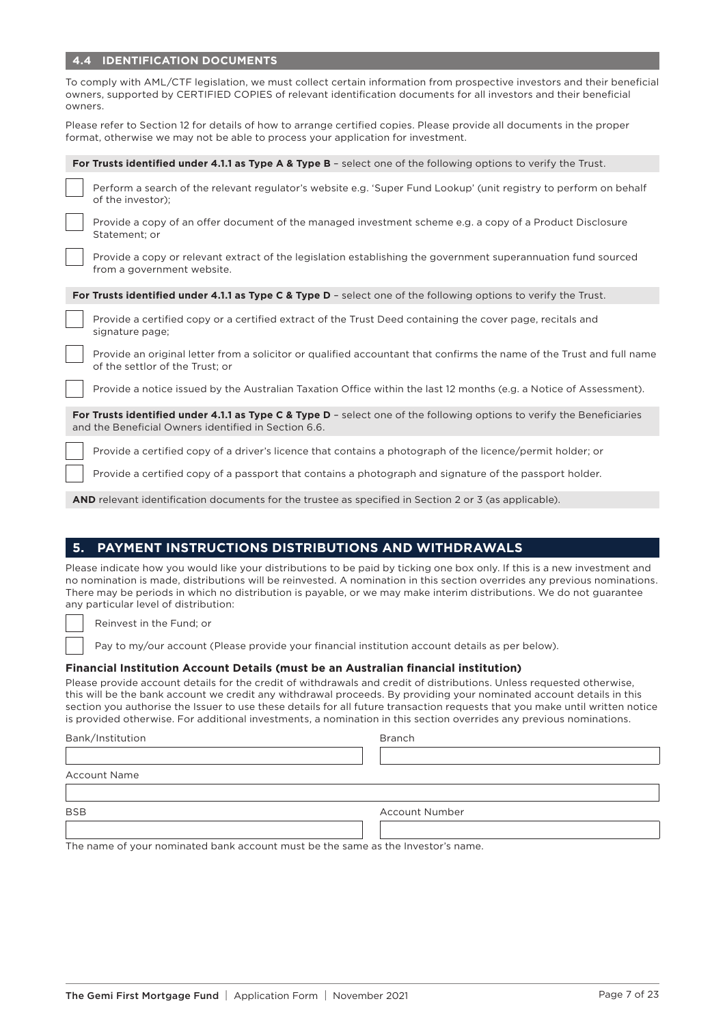### **4.4 IDENTIFICATION DOCUMENTS**

| To comply with AML/CTF legislation, we must collect certain information from prospective investors and their beneficial<br>owners, supported by CERTIFIED COPIES of relevant identification documents for all investors and their beneficial<br>owners. |                                                                                                                                                                                                                                                                                                                                                                                                                        |  |  |  |
|---------------------------------------------------------------------------------------------------------------------------------------------------------------------------------------------------------------------------------------------------------|------------------------------------------------------------------------------------------------------------------------------------------------------------------------------------------------------------------------------------------------------------------------------------------------------------------------------------------------------------------------------------------------------------------------|--|--|--|
|                                                                                                                                                                                                                                                         | Please refer to Section 12 for details of how to arrange certified copies. Please provide all documents in the proper<br>format, otherwise we may not be able to process your application for investment.                                                                                                                                                                                                              |  |  |  |
|                                                                                                                                                                                                                                                         | For Trusts identified under 4.1.1 as Type A & Type B - select one of the following options to verify the Trust.                                                                                                                                                                                                                                                                                                        |  |  |  |
|                                                                                                                                                                                                                                                         | Perform a search of the relevant regulator's website e.g. 'Super Fund Lookup' (unit registry to perform on behalf<br>of the investor):                                                                                                                                                                                                                                                                                 |  |  |  |
|                                                                                                                                                                                                                                                         | Provide a copy of an offer document of the managed investment scheme e.g. a copy of a Product Disclosure<br>Statement; or                                                                                                                                                                                                                                                                                              |  |  |  |
|                                                                                                                                                                                                                                                         | Provide a copy or relevant extract of the legislation establishing the government superannuation fund sourced<br>from a government website.                                                                                                                                                                                                                                                                            |  |  |  |
|                                                                                                                                                                                                                                                         | For Trusts identified under 4.1.1 as Type C & Type D - select one of the following options to verify the Trust.                                                                                                                                                                                                                                                                                                        |  |  |  |
|                                                                                                                                                                                                                                                         | Provide a certified copy or a certified extract of the Trust Deed containing the cover page, recitals and<br>signature page;                                                                                                                                                                                                                                                                                           |  |  |  |
|                                                                                                                                                                                                                                                         | Provide an original letter from a solicitor or qualified accountant that confirms the name of the Trust and full name<br>of the settlor of the Trust; or                                                                                                                                                                                                                                                               |  |  |  |
|                                                                                                                                                                                                                                                         | Provide a notice issued by the Australian Taxation Office within the last 12 months (e.g. a Notice of Assessment).                                                                                                                                                                                                                                                                                                     |  |  |  |
|                                                                                                                                                                                                                                                         | For Trusts identified under 4.1.1 as Type C & Type D - select one of the following options to verify the Beneficiaries<br>and the Beneficial Owners identified in Section 6.6.                                                                                                                                                                                                                                         |  |  |  |
|                                                                                                                                                                                                                                                         | Provide a certified copy of a driver's licence that contains a photograph of the licence/permit holder; or                                                                                                                                                                                                                                                                                                             |  |  |  |
|                                                                                                                                                                                                                                                         | Provide a certified copy of a passport that contains a photograph and signature of the passport holder.                                                                                                                                                                                                                                                                                                                |  |  |  |
|                                                                                                                                                                                                                                                         | AND relevant identification documents for the trustee as specified in Section 2 or 3 (as applicable).                                                                                                                                                                                                                                                                                                                  |  |  |  |
|                                                                                                                                                                                                                                                         |                                                                                                                                                                                                                                                                                                                                                                                                                        |  |  |  |
| 5.                                                                                                                                                                                                                                                      | PAYMENT INSTRUCTIONS DISTRIBUTIONS AND WITHDRAWALS                                                                                                                                                                                                                                                                                                                                                                     |  |  |  |
|                                                                                                                                                                                                                                                         | Please indicate how you would like your distributions to be paid by ticking one box only. If this is a new investment and<br>no nomination is made, distributions will be reinvested. A nomination in this section overrides any previous nominations.<br>There may be periods in which no distribution is payable, or we may make interim distributions. We do not guarantee<br>any particular level of distribution: |  |  |  |
|                                                                                                                                                                                                                                                         | Reinvest in the Fund; or                                                                                                                                                                                                                                                                                                                                                                                               |  |  |  |
|                                                                                                                                                                                                                                                         | Pay to my/our account (Please provide your financial institution account details as per below).                                                                                                                                                                                                                                                                                                                        |  |  |  |

### **Financial Institution Account Details (must be an Australian financial institution)**

Please provide account details for the credit of withdrawals and credit of distributions. Unless requested otherwise, this will be the bank account we credit any withdrawal proceeds. By providing your nominated account details in this section you authorise the Issuer to use these details for all future transaction requests that you make until written notice is provided otherwise. For additional investments, a nomination in this section overrides any previous nominations.

| Bank/Institution    | <b>Branch</b>                                                                   |  |
|---------------------|---------------------------------------------------------------------------------|--|
|                     |                                                                                 |  |
| <b>Account Name</b> |                                                                                 |  |
|                     |                                                                                 |  |
| <b>BSB</b>          | <b>Account Number</b>                                                           |  |
|                     |                                                                                 |  |
|                     | The name of your nominated bank account must be the same as the Investor's name |  |

The name of your nominated bank account must be the same as the Investor's name.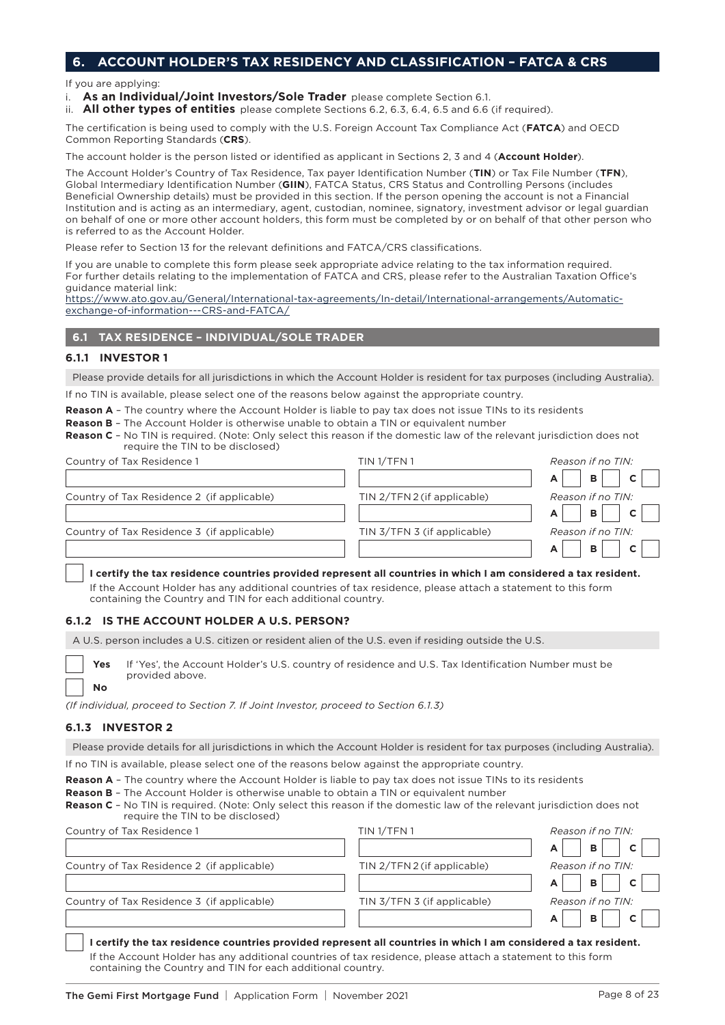### **6. ACCOUNT HOLDER'S TAX RESIDENCY AND CLASSIFICATION – FATCA & CRS**

If you are applying:

- i. **As an Individual/Joint Investors/Sole Trader** please complete Section 6.1.
- ii. **All other types of entities** please complete Sections 6.2, 6.3, 6.4, 6.5 and 6.6 (if required).

The certification is being used to comply with the U.S. Foreign Account Tax Compliance Act (**FATCA**) and OECD Common Reporting Standards (**CRS**).

The account holder is the person listed or identified as applicant in Sections 2, 3 and 4 (**Account Holder**).

The Account Holder's Country of Tax Residence, Tax payer Identification Number (**TIN**) or Tax File Number (**TFN**), Global Intermediary Identification Number (**GIIN**), FATCA Status, CRS Status and Controlling Persons (includes Beneficial Ownership details) must be provided in this section. If the person opening the account is not a Financial Institution and is acting as an intermediary, agent, custodian, nominee, signatory, investment advisor or legal guardian on behalf of one or more other account holders, this form must be completed by or on behalf of that other person who is referred to as the Account Holder.

Please refer to Section 13 for the relevant definitions and FATCA/CRS classifications.

If you are unable to complete this form please seek appropriate advice relating to the tax information required. For further details relating to the implementation of FATCA and CRS, please refer to the Australian Taxation Office's guidance material link:

[https://www.ato.gov.au/General/International-tax-agreements/In-detail/International-arrangements/Automatic](https://www.ato.gov.au/General/International-tax-agreements/In-detail/International-arrangements/Automatic-exchange-of-information---CRS-and-FATCA/)[exchange-of-information---CRS-and-FATCA/](https://www.ato.gov.au/General/International-tax-agreements/In-detail/International-arrangements/Automatic-exchange-of-information---CRS-and-FATCA/)

### **6.1 TAX RESIDENCE – INDIVIDUAL/SOLE TRADER**

#### **6.1.1 INVESTOR 1**

Please provide details for all jurisdictions in which the Account Holder is resident for tax purposes (including Australia).

If no TIN is available, please select one of the reasons below against the appropriate country.

**Reason A** – The country where the Account Holder is liable to pay tax does not issue TINs to its residents

**Reason B** – The Account Holder is otherwise unable to obtain a TIN or equivalent number **Reason C** – No TIN is required. (Note: Only select this reason if the domestic law of the relevant jurisdiction does not require the TIN to be disclosed)

| regance the rink to be disclosed.          |                             |                                     |
|--------------------------------------------|-----------------------------|-------------------------------------|
| Country of Tax Residence 1                 | TIN 1/TFN 1                 | Reason if no TIN:                   |
|                                            |                             | $\mathbf{B}$<br>$\overline{c}$<br>A |
| Country of Tax Residence 2 (if applicable) | TIN 2/TFN 2 (if applicable) | Reason if no TIN:                   |
|                                            |                             | <b>B</b><br>$\overline{c}$          |
| Country of Tax Residence 3 (if applicable) | TIN 3/TFN 3 (if applicable) | Reason if no TIN:                   |
|                                            |                             | B                                   |

#### **I certify the tax residence countries provided represent all countries in which I am considered a tax resident.**

If the Account Holder has any additional countries of tax residence, please attach a statement to this form containing the Country and TIN for each additional country.

### **6.1.2 IS THE ACCOUNT HOLDER A U.S. PERSON?**

A U.S. person includes a U.S. citizen or resident alien of the U.S. even if residing outside the U.S.

Yes If 'Yes', the Account Holder's U.S. country of residence and U.S. Tax Identification Number must be provided above. **No**

*(If individual, proceed to Section 7. If Joint Investor, proceed to Section 6.1.3)*

#### **6.1.3 INVESTOR 2**

Please provide details for all jurisdictions in which the Account Holder is resident for tax purposes (including Australia).

If no TIN is available, please select one of the reasons below against the appropriate country.

**Reason A** - The country where the Account Holder is liable to pay tax does not issue TINs to its residents

- **Reason B** The Account Holder is otherwise unable to obtain a TIN or equivalent number
- **Reason C** No TIN is required. (Note: Only select this reason if the domestic law of the relevant jurisdiction does not autra the TIN to be disclosed

| require the Tilly to be disclosed.         |                                    |                              |
|--------------------------------------------|------------------------------------|------------------------------|
| Country of Tax Residence 1                 | TIN <sub>1</sub> /TFN <sub>1</sub> | Reason if no TIN:            |
|                                            |                                    | $\mathbf{B}$<br>$\mathbf{C}$ |
| Country of Tax Residence 2 (if applicable) | TIN 2/TFN 2 (if applicable)        | Reason if no TIN:            |
|                                            |                                    | B<br>$\mathbf{C}$            |
| Country of Tax Residence 3 (if applicable) | TIN 3/TFN 3 (if applicable)        | Reason if no TIN:            |
|                                            |                                    | B.                           |
|                                            |                                    |                              |

**I certify the tax residence countries provided represent all countries in which I am considered a tax resident.** If the Account Holder has any additional countries of tax residence, please attach a statement to this form containing the Country and TIN for each additional country.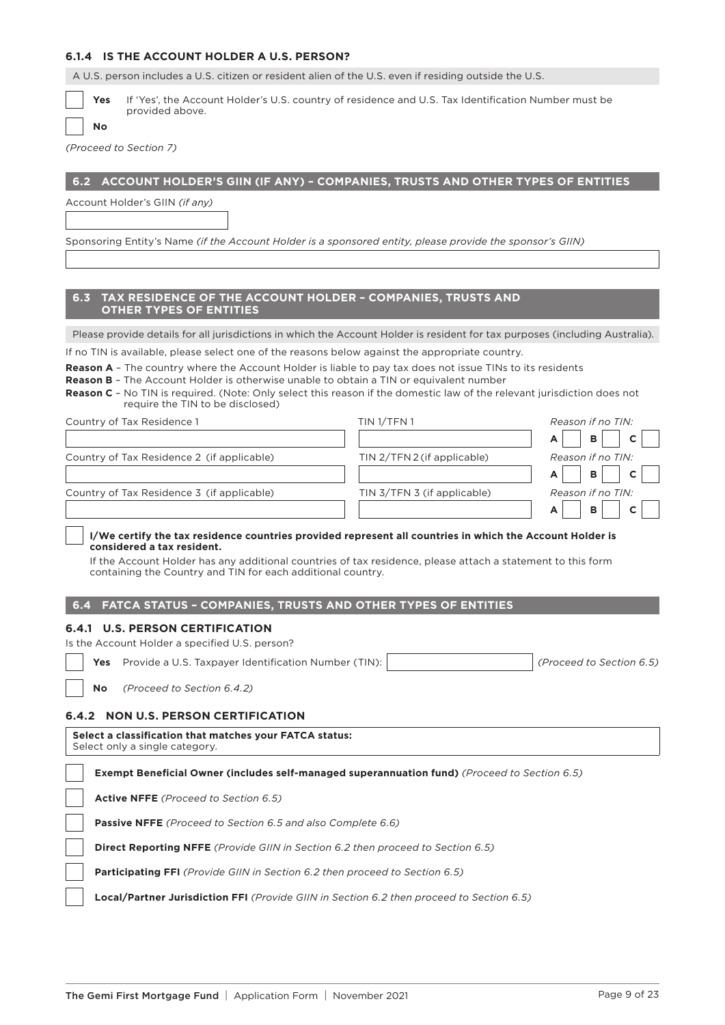| 6.1.4 IS THE ACCOUNT HOLDER A U.S. PERSON?                                                                                                                                                                                                            |                                                                                                                              |
|-------------------------------------------------------------------------------------------------------------------------------------------------------------------------------------------------------------------------------------------------------|------------------------------------------------------------------------------------------------------------------------------|
| A U.S. person includes a U.S. citizen or resident alien of the U.S. even if residing outside the U.S.                                                                                                                                                 |                                                                                                                              |
| Yes<br>provided above.<br>No                                                                                                                                                                                                                          | If 'Yes', the Account Holder's U.S. country of residence and U.S. Tax Identification Number must be                          |
| (Proceed to Section 7)                                                                                                                                                                                                                                |                                                                                                                              |
|                                                                                                                                                                                                                                                       |                                                                                                                              |
| 6.2                                                                                                                                                                                                                                                   | ACCOUNT HOLDER'S GIIN (IF ANY) - COMPANIES, TRUSTS AND OTHER TYPES OF ENTITIES                                               |
| Account Holder's GIIN (if any)                                                                                                                                                                                                                        |                                                                                                                              |
|                                                                                                                                                                                                                                                       |                                                                                                                              |
| Sponsoring Entity's Name (if the Account Holder is a sponsored entity, please provide the sponsor's GIIN)                                                                                                                                             |                                                                                                                              |
| TAX RESIDENCE OF THE ACCOUNT HOLDER - COMPANIES, TRUSTS AND<br>6.3<br><b>OTHER TYPES OF ENTITIES</b>                                                                                                                                                  |                                                                                                                              |
|                                                                                                                                                                                                                                                       |                                                                                                                              |
| If no TIN is available, please select one of the reasons below against the appropriate country.                                                                                                                                                       | Please provide details for all jurisdictions in which the Account Holder is resident for tax purposes (including Australia). |
| <b>Reason A</b> - The country where the Account Holder is liable to pay tax does not issue TINs to its residents<br><b>Reason B</b> - The Account Holder is otherwise unable to obtain a TIN or equivalent number<br>require the TIN to be disclosed) | Reason C - No TIN is required. (Note: Only select this reason if the domestic law of the relevant jurisdiction does not      |
| Country of Tax Residence 1                                                                                                                                                                                                                            | TIN 1/TFN 1<br>Reason if no TIN:                                                                                             |
|                                                                                                                                                                                                                                                       | в<br>A<br>C                                                                                                                  |
| Country of Tax Residence 2 (if applicable)                                                                                                                                                                                                            | Reason if no TIN:<br>TIN 2/TFN 2 (if applicable)<br>в<br>Α<br>С                                                              |
| Country of Tax Residence 3 (if applicable)                                                                                                                                                                                                            | TIN 3/TFN 3 (if applicable)<br>Reason if no TIN:<br>в<br>C<br>А                                                              |
|                                                                                                                                                                                                                                                       | I/We certify the tax residence countries provided represent all countries in which the Account Holder is                     |
| considered a tax resident.<br>containing the Country and TIN for each additional country.                                                                                                                                                             | If the Account Holder has any additional countries of tax residence, please attach a statement to this form                  |
|                                                                                                                                                                                                                                                       |                                                                                                                              |
| FATCA STATUS - COMPANIES, TRUSTS AND OTHER TYPES OF ENTITIES<br>6.4                                                                                                                                                                                   |                                                                                                                              |
| <b>6.4.1 U.S. PERSON CERTIFICATION</b>                                                                                                                                                                                                                |                                                                                                                              |
| Is the Account Holder a specified U.S. person?                                                                                                                                                                                                        |                                                                                                                              |
| Provide a U.S. Taxpayer Identification Number (TIN):<br>Yes                                                                                                                                                                                           | (Proceed to Section 6.5)                                                                                                     |
| (Proceed to Section 6.4.2)<br>No                                                                                                                                                                                                                      |                                                                                                                              |
| <b>NON U.S. PERSON CERTIFICATION</b><br>6.4.2                                                                                                                                                                                                         |                                                                                                                              |
| Select a classification that matches your FATCA status:<br>Select only a single category.                                                                                                                                                             |                                                                                                                              |
| <b>Exempt Beneficial Owner (includes self-managed superannuation fund)</b> (Proceed to Section 6.5)                                                                                                                                                   |                                                                                                                              |
| Active NFFE (Proceed to Section 6.5)                                                                                                                                                                                                                  |                                                                                                                              |
| <b>Passive NFFE</b> (Proceed to Section 6.5 and also Complete 6.6)                                                                                                                                                                                    |                                                                                                                              |
| <b>Direct Reporting NFFE</b> (Provide GIIN in Section 6.2 then proceed to Section 6.5)                                                                                                                                                                |                                                                                                                              |
| <b>Participating FFI</b> (Provide GIIN in Section 6.2 then proceed to Section 6.5)                                                                                                                                                                    |                                                                                                                              |
| Local/Partner Jurisdiction FFI (Provide GIIN in Section 6.2 then proceed to Section 6.5)                                                                                                                                                              |                                                                                                                              |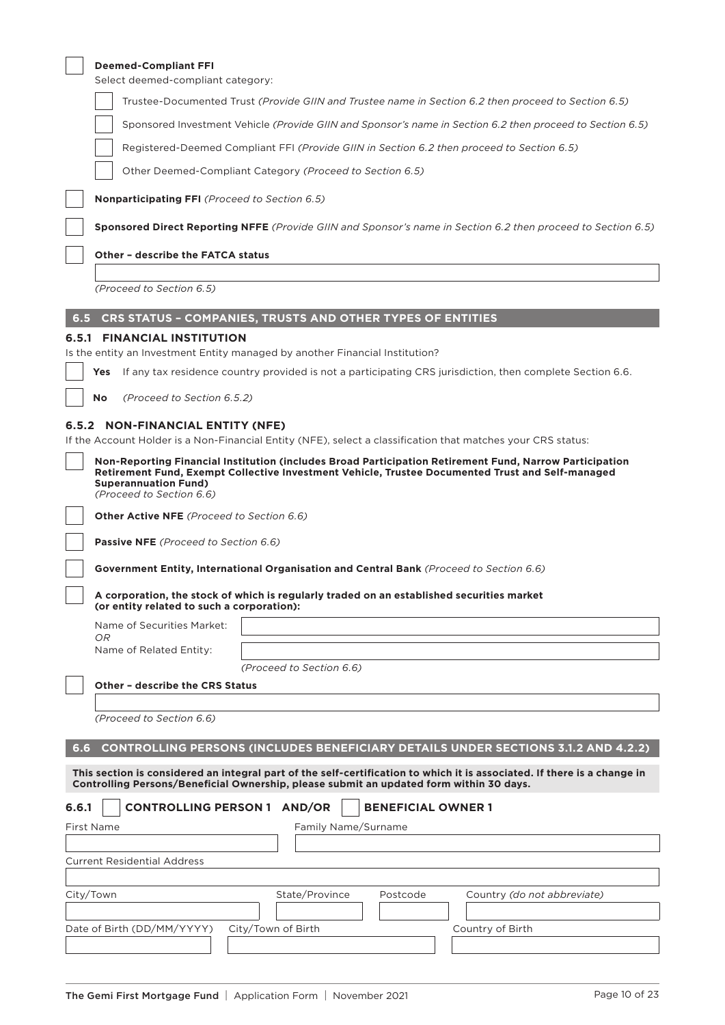|       | <b>Deemed-Compliant FFI</b><br>Select deemed-compliant category:                                                                                                                                                                                                       |  |  |  |
|-------|------------------------------------------------------------------------------------------------------------------------------------------------------------------------------------------------------------------------------------------------------------------------|--|--|--|
|       | Trustee-Documented Trust (Provide GIIN and Trustee name in Section 6.2 then proceed to Section 6.5)                                                                                                                                                                    |  |  |  |
|       | Sponsored Investment Vehicle (Provide GIIN and Sponsor's name in Section 6.2 then proceed to Section 6.5)                                                                                                                                                              |  |  |  |
|       | Registered-Deemed Compliant FFI (Provide GIIN in Section 6.2 then proceed to Section 6.5)                                                                                                                                                                              |  |  |  |
|       |                                                                                                                                                                                                                                                                        |  |  |  |
|       | Other Deemed-Compliant Category (Proceed to Section 6.5)                                                                                                                                                                                                               |  |  |  |
|       | Nonparticipating FFI (Proceed to Section 6.5)                                                                                                                                                                                                                          |  |  |  |
|       | <b>Sponsored Direct Reporting NFFE</b> (Provide GIIN and Sponsor's name in Section 6.2 then proceed to Section 6.5)                                                                                                                                                    |  |  |  |
|       | <b>Other - describe the FATCA status</b>                                                                                                                                                                                                                               |  |  |  |
|       | (Proceed to Section 6.5)                                                                                                                                                                                                                                               |  |  |  |
| 6.5   | CRS STATUS - COMPANIES, TRUSTS AND OTHER TYPES OF ENTITIES                                                                                                                                                                                                             |  |  |  |
|       | <b>6.5.1 FINANCIAL INSTITUTION</b>                                                                                                                                                                                                                                     |  |  |  |
|       | Is the entity an Investment Entity managed by another Financial Institution?                                                                                                                                                                                           |  |  |  |
|       | If any tax residence country provided is not a participating CRS jurisdiction, then complete Section 6.6.<br>Yes                                                                                                                                                       |  |  |  |
|       | (Proceed to Section 6.5.2)<br>No                                                                                                                                                                                                                                       |  |  |  |
|       | 6.5.2 NON-FINANCIAL ENTITY (NFE)                                                                                                                                                                                                                                       |  |  |  |
|       | If the Account Holder is a Non-Financial Entity (NFE), select a classification that matches your CRS status:                                                                                                                                                           |  |  |  |
|       | Non-Reporting Financial Institution (includes Broad Participation Retirement Fund, Narrow Participation<br>Retirement Fund, Exempt Collective Investment Vehicle, Trustee Documented Trust and Self-managed<br><b>Superannuation Fund)</b><br>(Proceed to Section 6.6) |  |  |  |
|       | <b>Other Active NFE</b> (Proceed to Section 6.6)                                                                                                                                                                                                                       |  |  |  |
|       | Passive NFE (Proceed to Section 6.6)                                                                                                                                                                                                                                   |  |  |  |
|       | <b>Government Entity, International Organisation and Central Bank</b> (Proceed to Section 6.6)                                                                                                                                                                         |  |  |  |
|       | A corporation, the stock of which is regularly traded on an established securities market<br>(or entity related to such a corporation):                                                                                                                                |  |  |  |
|       | Name of Securities Market:                                                                                                                                                                                                                                             |  |  |  |
|       | OR.<br>Name of Related Entity:                                                                                                                                                                                                                                         |  |  |  |
|       | (Proceed to Section 6.6)                                                                                                                                                                                                                                               |  |  |  |
|       | <b>Other - describe the CRS Status</b>                                                                                                                                                                                                                                 |  |  |  |
|       | (Proceed to Section 6.6)                                                                                                                                                                                                                                               |  |  |  |
| 6.6   | CONTROLLING PERSONS (INCLUDES BENEFICIARY DETAILS UNDER SECTIONS 3.1.2 AND 4.2.2)                                                                                                                                                                                      |  |  |  |
|       | This section is considered an integral part of the self-certification to which it is associated. If there is a change in<br>Controlling Persons/Beneficial Ownership, please submit an updated form within 30 days.                                                    |  |  |  |
|       |                                                                                                                                                                                                                                                                        |  |  |  |
| 6.6.1 | <b>CONTROLLING PERSON 1 AND/OR</b><br><b>BENEFICIAL OWNER 1</b>                                                                                                                                                                                                        |  |  |  |
|       | <b>First Name</b><br>Family Name/Surname                                                                                                                                                                                                                               |  |  |  |
|       | <b>Current Residential Address</b>                                                                                                                                                                                                                                     |  |  |  |
|       |                                                                                                                                                                                                                                                                        |  |  |  |
|       | City/Town<br>State/Province<br>Postcode<br>Country (do not abbreviate)                                                                                                                                                                                                 |  |  |  |
|       |                                                                                                                                                                                                                                                                        |  |  |  |
|       | Date of Birth (DD/MM/YYYY)<br>City/Town of Birth<br>Country of Birth                                                                                                                                                                                                   |  |  |  |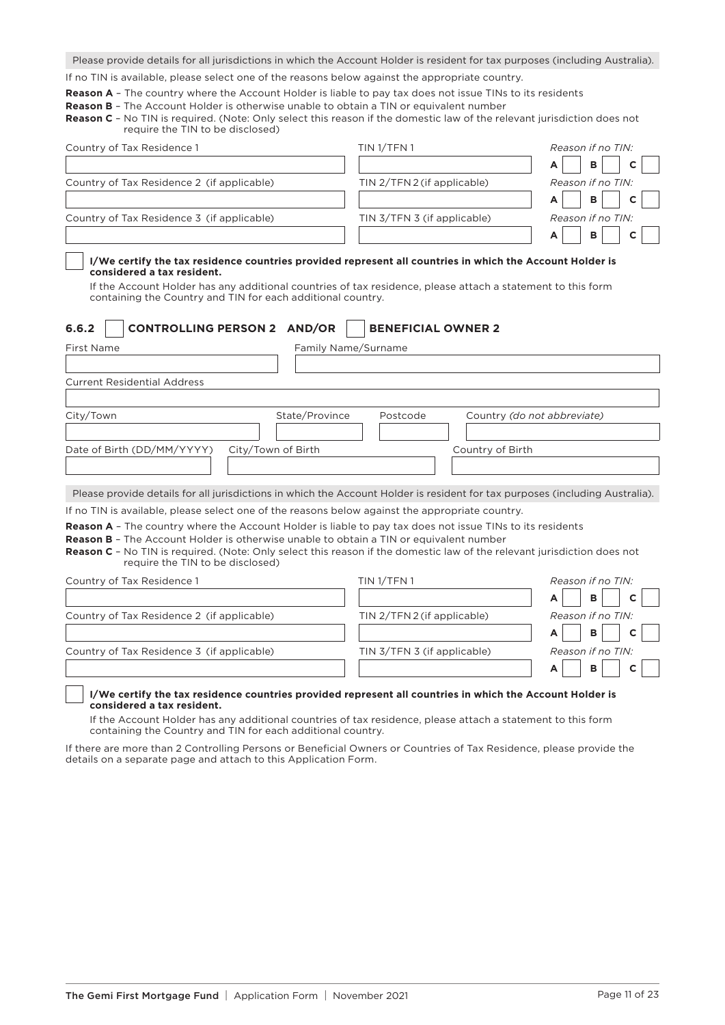Please provide details for all jurisdictions in which the Account Holder is resident for tax purposes (including Australia).

If no TIN is available, please select one of the reasons below against the appropriate country.

**Reason A** – The country where the Account Holder is liable to pay tax does not issue TINs to its residents

**Reason B** – The Account Holder is otherwise unable to obtain a TIN or equivalent number

**Reason C** – No TIN is required. (Note: Only select this reason if the domestic law of the relevant jurisdiction does not require the TIN to be disclosed)

| Country of Tax Residence 1                                                                                                                                                                                                                                                                                                                                         | TIN 1/TFN 1                        | Reason if no TIN:           |  |
|--------------------------------------------------------------------------------------------------------------------------------------------------------------------------------------------------------------------------------------------------------------------------------------------------------------------------------------------------------------------|------------------------------------|-----------------------------|--|
|                                                                                                                                                                                                                                                                                                                                                                    |                                    | в<br>А                      |  |
| Country of Tax Residence 2 (if applicable)                                                                                                                                                                                                                                                                                                                         | TIN 2/TFN 2 (if applicable)        | Reason if no TIN:           |  |
|                                                                                                                                                                                                                                                                                                                                                                    |                                    | в<br>A                      |  |
| Country of Tax Residence 3 (if applicable)                                                                                                                                                                                                                                                                                                                         | TIN 3/TFN 3 (if applicable)        | Reason if no TIN:           |  |
|                                                                                                                                                                                                                                                                                                                                                                    |                                    | в                           |  |
| I/We certify the tax residence countries provided represent all countries in which the Account Holder is<br>considered a tax resident.<br>If the Account Holder has any additional countries of tax residence, please attach a statement to this form<br>containing the Country and TIN for each additional country.                                               |                                    |                             |  |
| <b>CONTROLLING PERSON 2 AND/OR</b><br>6.6.2                                                                                                                                                                                                                                                                                                                        | <b>BENEFICIAL OWNER 2</b>          |                             |  |
| <b>First Name</b>                                                                                                                                                                                                                                                                                                                                                  | Family Name/Surname                |                             |  |
|                                                                                                                                                                                                                                                                                                                                                                    |                                    |                             |  |
| <b>Current Residential Address</b>                                                                                                                                                                                                                                                                                                                                 |                                    |                             |  |
|                                                                                                                                                                                                                                                                                                                                                                    |                                    |                             |  |
| City/Town<br>State/Province                                                                                                                                                                                                                                                                                                                                        | Postcode                           | Country (do not abbreviate) |  |
|                                                                                                                                                                                                                                                                                                                                                                    |                                    |                             |  |
| City/Town of Birth<br>Date of Birth (DD/MM/YYYY)                                                                                                                                                                                                                                                                                                                   | Country of Birth                   |                             |  |
|                                                                                                                                                                                                                                                                                                                                                                    |                                    |                             |  |
| Please provide details for all jurisdictions in which the Account Holder is resident for tax purposes (including Australia).                                                                                                                                                                                                                                       |                                    |                             |  |
| If no TIN is available, please select one of the reasons below against the appropriate country.                                                                                                                                                                                                                                                                    |                                    |                             |  |
| Reason A - The country where the Account Holder is liable to pay tax does not issue TINs to its residents<br>Reason B - The Account Holder is otherwise unable to obtain a TIN or equivalent number<br>Reason C - No TIN is required. (Note: Only select this reason if the domestic law of the relevant jurisdiction does not<br>require the TIN to be disclosed) |                                    |                             |  |
| Country of Tax Residence 1                                                                                                                                                                                                                                                                                                                                         | TIN <sub>1</sub> /TFN <sub>1</sub> | Reason if no TIN:           |  |
|                                                                                                                                                                                                                                                                                                                                                                    |                                    | в                           |  |
|                                                                                                                                                                                                                                                                                                                                                                    |                                    |                             |  |
|                                                                                                                                                                                                                                                                                                                                                                    | TIN 2/TFN 2 (if applicable)        | Reason if no TIN:           |  |
|                                                                                                                                                                                                                                                                                                                                                                    |                                    | в<br>A<br>C                 |  |
| Country of Tax Residence 2 (if applicable)<br>Country of Tax Residence 3 (if applicable)                                                                                                                                                                                                                                                                           | TIN 3/TFN 3 (if applicable)        | Reason if no TIN:           |  |

If the Account Holder has any additional countries of tax residence, please attach a statement to this form containing the Country and TIN for each additional country.

If there are more than 2 Controlling Persons or Beneficial Owners or Countries of Tax Residence, please provide the details on a separate page and attach to this Application Form.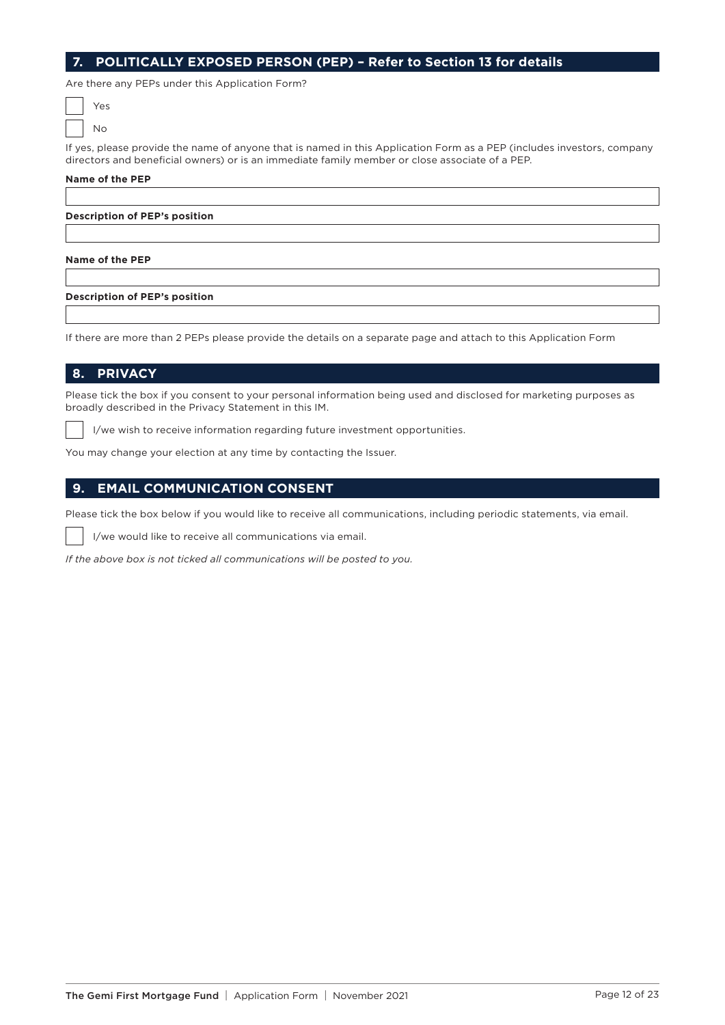### **7. POLITICALLY EXPOSED PERSON (PEP) – Refer to Section 13 for details**

Are there any PEPs under this Application Form?

If yes, please provide the name of anyone that is named in this Application Form as a PEP (includes investors, company directors and beneficial owners) or is an immediate family member or close associate of a PEP.

### **Name of the PEP**

**Description of PEP's position**

#### **Name of the PEP**

#### **Description of PEP's position**

If there are more than 2 PEPs please provide the details on a separate page and attach to this Application Form

### **8. PRIVACY**

Please tick the box if you consent to your personal information being used and disclosed for marketing purposes as broadly described in the Privacy Statement in this IM.

I/we wish to receive information regarding future investment opportunities.

You may change your election at any time by contacting the Issuer.

### **9. EMAIL COMMUNICATION CONSENT**

Please tick the box below if you would like to receive all communications, including periodic statements, via email.

I/we would like to receive all communications via email.

*If the above box is not ticked all communications will be posted to you.*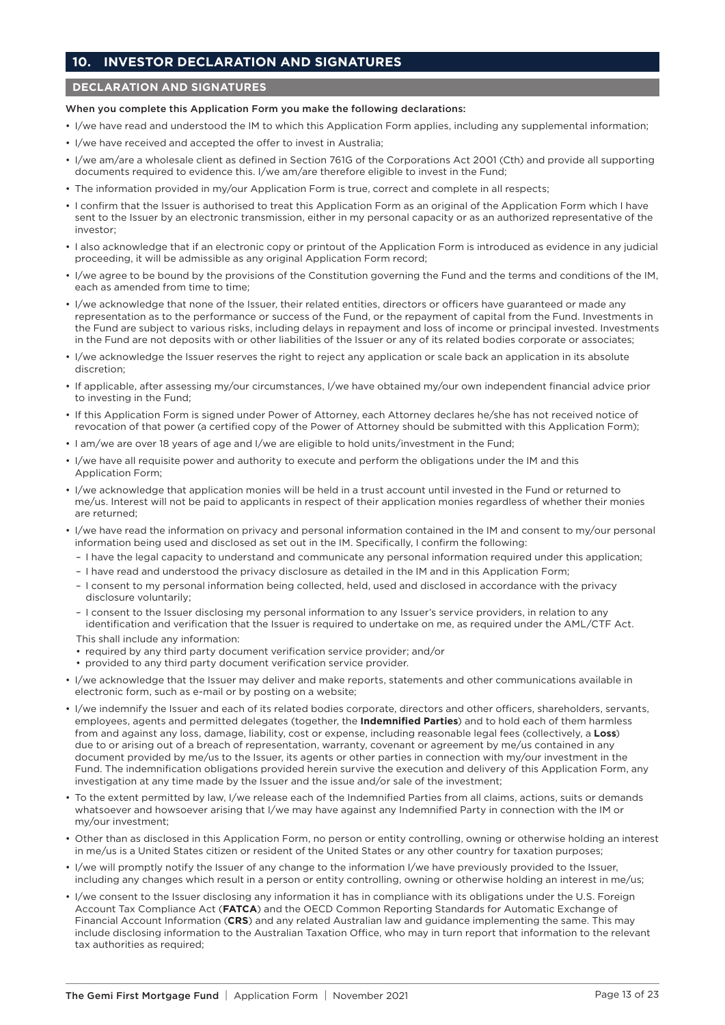### **10. INVESTOR DECLARATION AND SIGNATURES**

### **DECLARATION AND SIGNATURES**

#### When you complete this Application Form you make the following declarations:

- I/we have read and understood the IM to which this Application Form applies, including any supplemental information;
- I/we have received and accepted the offer to invest in Australia;
- I/we am/are a wholesale client as defined in Section 761G of the Corporations Act 2001 (Cth) and provide all supporting documents required to evidence this. I/we am/are therefore eligible to invest in the Fund;
- The information provided in my/our Application Form is true, correct and complete in all respects;
- I confirm that the Issuer is authorised to treat this Application Form as an original of the Application Form which I have sent to the Issuer by an electronic transmission, either in my personal capacity or as an authorized representative of the investor;
- I also acknowledge that if an electronic copy or printout of the Application Form is introduced as evidence in any judicial proceeding, it will be admissible as any original Application Form record;
- I/we agree to be bound by the provisions of the Constitution governing the Fund and the terms and conditions of the IM, each as amended from time to time;
- I/we acknowledge that none of the Issuer, their related entities, directors or officers have guaranteed or made any representation as to the performance or success of the Fund, or the repayment of capital from the Fund. Investments in the Fund are subject to various risks, including delays in repayment and loss of income or principal invested. Investments in the Fund are not deposits with or other liabilities of the Issuer or any of its related bodies corporate or associates;
- I/we acknowledge the Issuer reserves the right to reject any application or scale back an application in its absolute discretion;
- If applicable, after assessing my/our circumstances, I/we have obtained my/our own independent financial advice prior to investing in the Fund;
- If this Application Form is signed under Power of Attorney, each Attorney declares he/she has not received notice of revocation of that power (a certified copy of the Power of Attorney should be submitted with this Application Form);
- I am/we are over 18 years of age and I/we are eligible to hold units/investment in the Fund;
- I/we have all requisite power and authority to execute and perform the obligations under the IM and this Application Form;
- I/we acknowledge that application monies will be held in a trust account until invested in the Fund or returned to me/us. Interest will not be paid to applicants in respect of their application monies regardless of whether their monies are returned;
- I/we have read the information on privacy and personal information contained in the IM and consent to my/our personal information being used and disclosed as set out in the IM. Specifically, I confirm the following:
	- I have the legal capacity to understand and communicate any personal information required under this application;
	- I have read and understood the privacy disclosure as detailed in the IM and in this Application Form;
	- I consent to my personal information being collected, held, used and disclosed in accordance with the privacy disclosure voluntarily;
	- I consent to the Issuer disclosing my personal information to any Issuer's service providers, in relation to any identification and verification that the Issuer is required to undertake on me, as required under the AML/CTF Act.

This shall include any information:

- required by any third party document verification service provider; and/or
- provided to any third party document verification service provider.
- I/we acknowledge that the Issuer may deliver and make reports, statements and other communications available in electronic form, such as e-mail or by posting on a website;
- I/we indemnify the Issuer and each of its related bodies corporate, directors and other officers, shareholders, servants, employees, agents and permitted delegates (together, the **Indemnified Parties**) and to hold each of them harmless from and against any loss, damage, liability, cost or expense, including reasonable legal fees (collectively, a **Loss**) due to or arising out of a breach of representation, warranty, covenant or agreement by me/us contained in any document provided by me/us to the Issuer, its agents or other parties in connection with my/our investment in the Fund. The indemnification obligations provided herein survive the execution and delivery of this Application Form, any investigation at any time made by the Issuer and the issue and/or sale of the investment;
- To the extent permitted by law, I/we release each of the Indemnified Parties from all claims, actions, suits or demands whatsoever and howsoever arising that I/we may have against any Indemnified Party in connection with the IM or my/our investment;
- Other than as disclosed in this Application Form, no person or entity controlling, owning or otherwise holding an interest in me/us is a United States citizen or resident of the United States or any other country for taxation purposes;
- I/we will promptly notify the Issuer of any change to the information I/we have previously provided to the Issuer, including any changes which result in a person or entity controlling, owning or otherwise holding an interest in me/us;
- I/we consent to the Issuer disclosing any information it has in compliance with its obligations under the U.S. Foreign Account Tax Compliance Act (**FATCA**) and the OECD Common Reporting Standards for Automatic Exchange of Financial Account Information (**CRS**) and any related Australian law and guidance implementing the same. This may include disclosing information to the Australian Taxation Office, who may in turn report that information to the relevant tax authorities as required;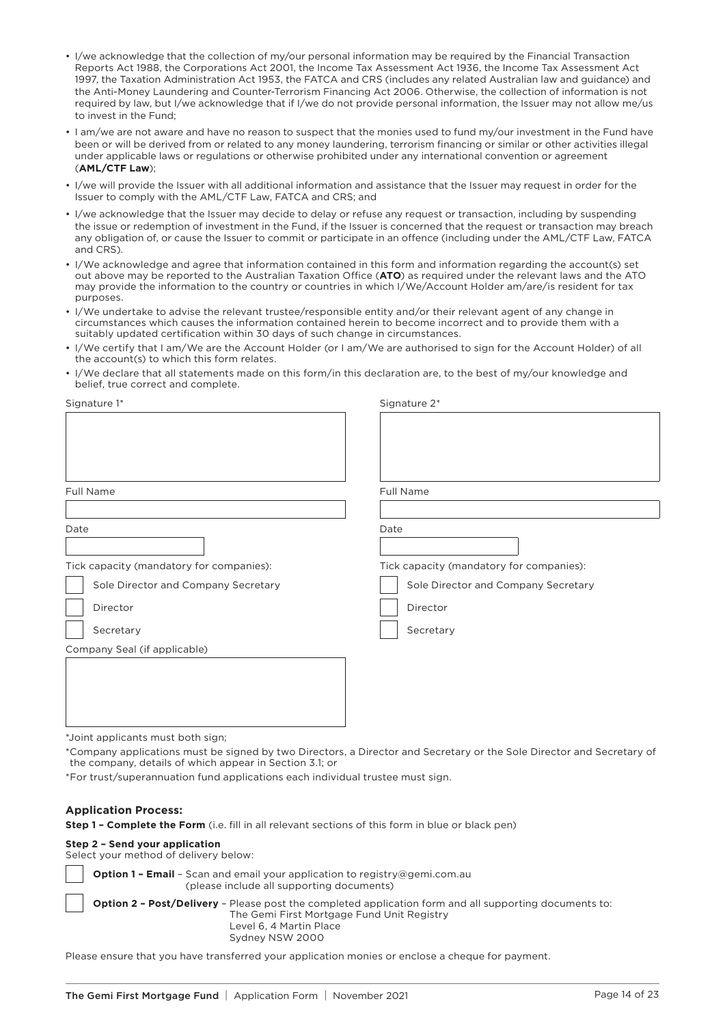- I/we acknowledge that the collection of my/our personal information may be required by the Financial Transaction Reports Act 1988, the Corporations Act 2001, the Income Tax Assessment Act 1936, the Income Tax Assessment Act 1997, the Taxation Administration Act 1953, the FATCA and CRS (includes any related Australian law and guidance) and the Anti-Money Laundering and Counter-Terrorism Financing Act 2006. Otherwise, the collection of information is not required by law, but I/we acknowledge that if I/we do not provide personal information, the Issuer may not allow me/us to invest in the Fund;
- I am/we are not aware and have no reason to suspect that the monies used to fund my/our investment in the Fund have been or will be derived from or related to any money laundering, terrorism financing or similar or other activities illegal under applicable laws or regulations or otherwise prohibited under any international convention or agreement (**AML/CTF Law**);
- I/we will provide the Issuer with all additional information and assistance that the Issuer may request in order for the Issuer to comply with the AML/CTF Law, FATCA and CRS; and
- I/we acknowledge that the Issuer may decide to delay or refuse any request or transaction, including by suspending the issue or redemption of investment in the Fund, if the Issuer is concerned that the request or transaction may breach any obligation of, or cause the Issuer to commit or participate in an offence (including under the AML/CTF Law, FATCA and CRS).
- I/We acknowledge and agree that information contained in this form and information regarding the account(s) set out above may be reported to the Australian Taxation Office (**ATO**) as required under the relevant laws and the ATO may provide the information to the country or countries in which I/We/Account Holder am/are/is resident for tax purposes.
- I/We undertake to advise the relevant trustee/responsible entity and/or their relevant agent of any change in circumstances which causes the information contained herein to become incorrect and to provide them with a suitably updated certification within 30 days of such change in circumstances.
- I/We certify that I am/We are the Account Holder (or I am/We are authorised to sign for the Account Holder) of all the account(s) to which this form relates.
- I/We declare that all statements made on this form/in this declaration are, to the best of my/our knowledge and belief, true correct and complete.

| Signature 1*                             | Signature 2*                             |
|------------------------------------------|------------------------------------------|
|                                          |                                          |
|                                          |                                          |
| Full Name                                | Full Name                                |
| Date                                     | Date                                     |
|                                          |                                          |
| Tick capacity (mandatory for companies): | Tick capacity (mandatory for companies): |
| Sole Director and Company Secretary      | Sole Director and Company Secretary      |
| Director                                 | Director                                 |
| Secretary                                | Secretary                                |
| Company Seal (if applicable)             |                                          |
|                                          |                                          |
|                                          |                                          |
|                                          |                                          |
|                                          |                                          |

\*Joint applicants must both sign;

\*Company applications must be signed by two Directors, a Director and Secretary or the Sole Director and Secretary of the company, details of which appear in Section 3.1; or

\*For trust/superannuation fund applications each individual trustee must sign.

#### **Application Process:**

**Step 1 – Complete the Form** (i.e. fill in all relevant sections of this form in blue or black pen)

#### **Step 2 – Send your application**

Select your method of delivery below:

**Option 1 – Email** – Scan and email your application to [registry@gemi.com.au](mailto:registry@gemi.com.au) (please include all supporting documents) **Option 2 – Post/Delivery** – Please post the completed application form and all supporting documents to: The Gemi First Mortgage Fund Unit Registry Level 6, 4 Martin Place Sydney NSW 2000

Please ensure that you have transferred your application monies or enclose a cheque for payment.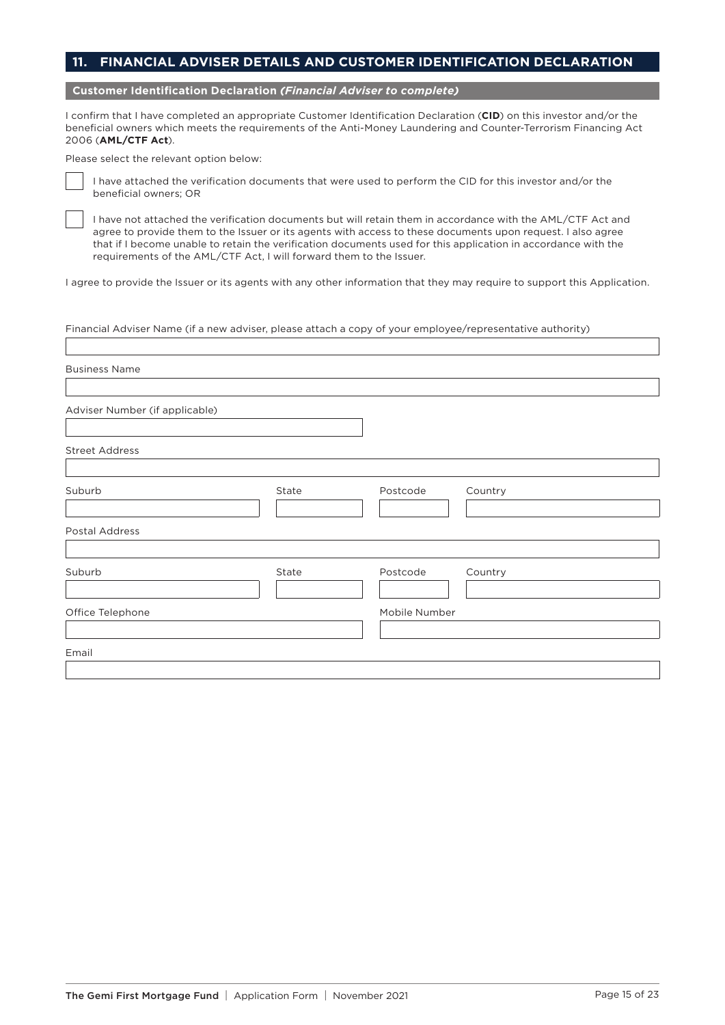### **11. FINANCIAL ADVISER DETAILS AND CUSTOMER IDENTIFICATION DECLARATION**

**Customer Identification Declaration** *(Financial Adviser to complete)*

I confirm that I have completed an appropriate Customer Identification Declaration (**CID**) on this investor and/or the beneficial owners which meets the requirements of the Anti-Money Laundering and Counter-Terrorism Financing Act 2006 (**AML/CTF Act**).

Please select the relevant option below:



I have attached the verification documents that were used to perform the CID for this investor and/or the beneficial owners; OR

I have not attached the verification documents but will retain them in accordance with the AML/CTF Act and agree to provide them to the Issuer or its agents with access to these documents upon request. I also agree that if I become unable to retain the verification documents used for this application in accordance with the requirements of the AML/CTF Act, I will forward them to the Issuer.

I agree to provide the Issuer or its agents with any other information that they may require to support this Application.

Financial Adviser Name (if a new adviser, please attach a copy of your employee/representative authority)

| <b>Business Name</b>           |       |               |         |
|--------------------------------|-------|---------------|---------|
|                                |       |               |         |
| Adviser Number (if applicable) |       |               |         |
|                                |       |               |         |
| <b>Street Address</b>          |       |               |         |
|                                |       |               |         |
| Suburb                         | State | Postcode      | Country |
|                                |       |               |         |
| Postal Address                 |       |               |         |
|                                |       |               |         |
| Suburb                         | State | Postcode      | Country |
|                                |       |               |         |
| Office Telephone               |       | Mobile Number |         |
|                                |       |               |         |
| Email                          |       |               |         |
|                                |       |               |         |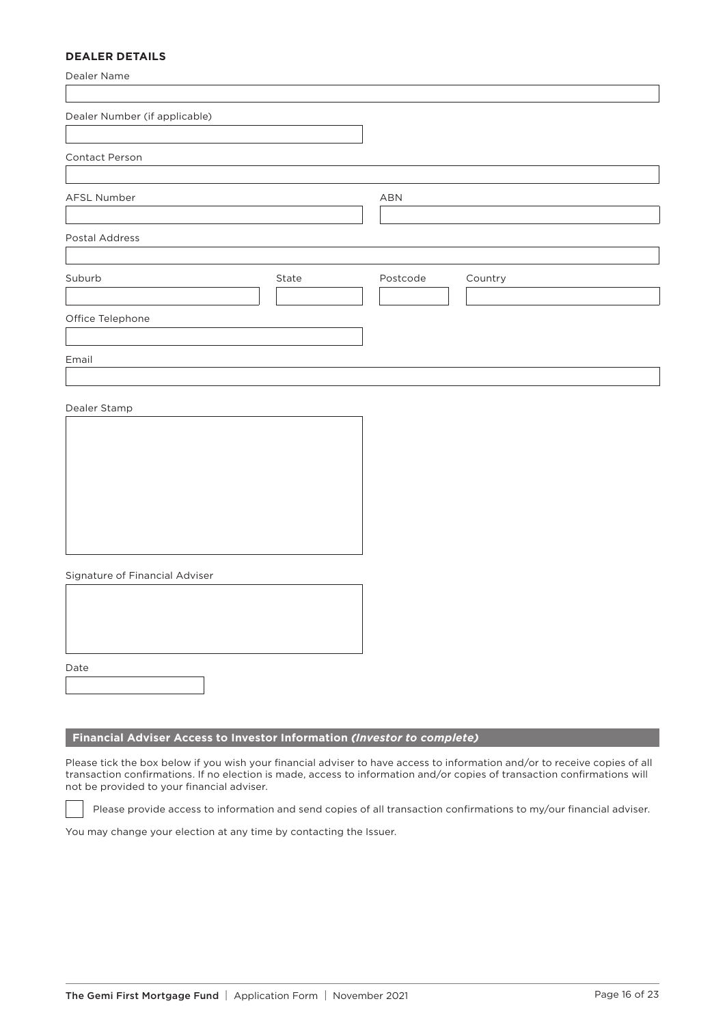### **DEALER DETAILS**

| Dealer Name                                    |       |          |         |
|------------------------------------------------|-------|----------|---------|
| Dealer Number (if applicable)                  |       |          |         |
| Contact Person                                 |       |          |         |
| <b>AFSL Number</b>                             |       | ABN      |         |
| Postal Address                                 |       |          |         |
| Suburb                                         | State | Postcode | Country |
| Office Telephone                               |       |          |         |
| Email                                          |       |          |         |
| Dealer Stamp<br>Signature of Financial Adviser |       |          |         |
| Date                                           |       |          |         |

### **Financial Adviser Access to Investor Information** *(Investor to complete)*

Please tick the box below if you wish your financial adviser to have access to information and/or to receive copies of all transaction confirmations. If no election is made, access to information and/or copies of transaction confirmations will not be provided to your financial adviser.

Please provide access to information and send copies of all transaction confirmations to my/our financial adviser.

You may change your election at any time by contacting the Issuer.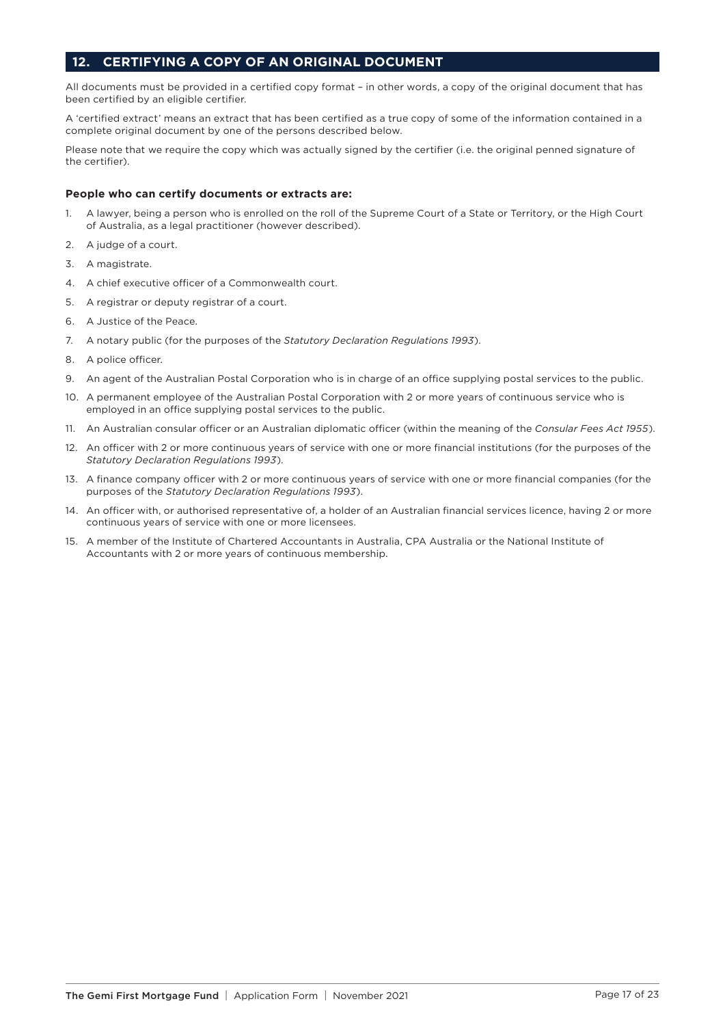### **12. CERTIFYING A COPY OF AN ORIGINAL DOCUMENT**

All documents must be provided in a certified copy format – in other words, a copy of the original document that has been certified by an eligible certifier.

A 'certified extract' means an extract that has been certified as a true copy of some of the information contained in a complete original document by one of the persons described below.

Please note that we require the copy which was actually signed by the certifier (i.e. the original penned signature of the certifier).

#### **People who can certify documents or extracts are:**

- 1. A lawyer, being a person who is enrolled on the roll of the Supreme Court of a State or Territory, or the High Court of Australia, as a legal practitioner (however described).
- 2. A judge of a court.
- 3. A magistrate.
- 4. A chief executive officer of a Commonwealth court.
- 5. A registrar or deputy registrar of a court.
- 6. A Justice of the Peace.
- 7. A notary public (for the purposes of the *Statutory Declaration Regulations 1993*).
- 8. A police officer.
- 9. An agent of the Australian Postal Corporation who is in charge of an office supplying postal services to the public.
- 10. A permanent employee of the Australian Postal Corporation with 2 or more years of continuous service who is employed in an office supplying postal services to the public.
- 11. An Australian consular officer or an Australian diplomatic officer (within the meaning of the *Consular Fees Act 1955*).
- 12. An officer with 2 or more continuous years of service with one or more financial institutions (for the purposes of the *Statutory Declaration Regulations 1993*).
- 13. A finance company officer with 2 or more continuous years of service with one or more financial companies (for the purposes of the *Statutory Declaration Regulations 1993*).
- 14. An officer with, or authorised representative of, a holder of an Australian financial services licence, having 2 or more continuous years of service with one or more licensees.
- 15. A member of the Institute of Chartered Accountants in Australia, CPA Australia or the National Institute of Accountants with 2 or more years of continuous membership.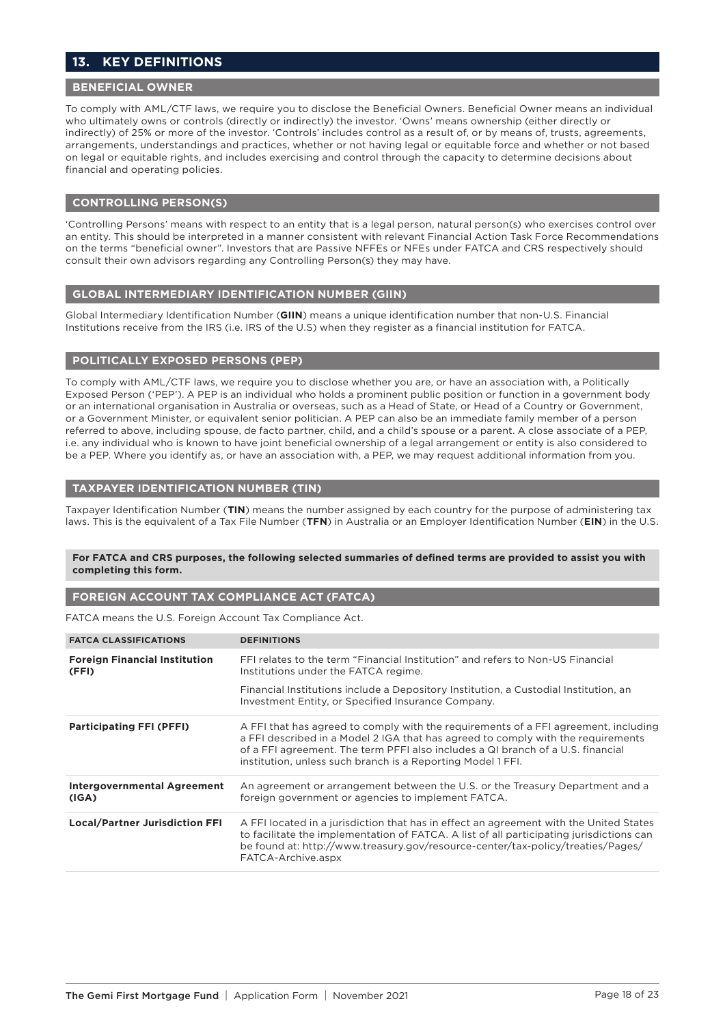### **13. KEY DEFINITIONS**

### **BENEFICIAL OWNER**

To comply with AML/CTF laws, we require you to disclose the Beneficial Owners. Beneficial Owner means an individual who ultimately owns or controls (directly or indirectly) the investor. 'Owns' means ownership (either directly or indirectly) of 25% or more of the investor. 'Controls' includes control as a result of, or by means of, trusts, agreements, arrangements, understandings and practices, whether or not having legal or equitable force and whether or not based on legal or equitable rights, and includes exercising and control through the capacity to determine decisions about financial and operating policies.

#### **CONTROLLING PERSON(S)**

'Controlling Persons' means with respect to an entity that is a legal person, natural person(s) who exercises control over an entity. This should be interpreted in a manner consistent with relevant Financial Action Task Force Recommendations on the terms "beneficial owner". Investors that are Passive NFFEs or NFEs under FATCA and CRS respectively should consult their own advisors regarding any Controlling Person(s) they may have.

### **GLOBAL INTERMEDIARY IDENTIFICATION NUMBER (GIIN)**

Global Intermediary Identification Number (**GIIN**) means a unique identification number that non-U.S. Financial Institutions receive from the IRS (i.e. IRS of the U.S) when they register as a financial institution for FATCA.

### **POLITICALLY EXPOSED PERSONS (PEP)**

To comply with AML/CTF laws, we require you to disclose whether you are, or have an association with, a Politically Exposed Person ('PEP'). A PEP is an individual who holds a prominent public position or function in a government body or an international organisation in Australia or overseas, such as a Head of State, or Head of a Country or Government, or a Government Minister, or equivalent senior politician. A PEP can also be an immediate family member of a person referred to above, including spouse, de facto partner, child, and a child's spouse or a parent. A close associate of a PEP, i.e. any individual who is known to have joint beneficial ownership of a legal arrangement or entity is also considered to be a PEP. Where you identify as, or have an association with, a PEP, we may request additional information from you.

### **TAXPAYER IDENTIFICATION NUMBER (TIN)**

Taxpayer Identification Number (**TIN**) means the number assigned by each country for the purpose of administering tax laws. This is the equivalent of a Tax File Number (**TFN**) in Australia or an Employer Identification Number (**EIN**) in the U.S.

#### **For FATCA and CRS purposes, the following selected summaries of defined terms are provided to assist you with completing this form.**

#### **FOREIGN ACCOUNT TAX COMPLIANCE ACT (FATCA)**

FATCA means the U.S. Foreign Account Tax Compliance Act.

| <b>FATCA CLASSIFICATIONS</b>                  | <b>DEFINITIONS</b>                                                                                                                                                                                                                                                                                                        |
|-----------------------------------------------|---------------------------------------------------------------------------------------------------------------------------------------------------------------------------------------------------------------------------------------------------------------------------------------------------------------------------|
| <b>Foreign Financial Institution</b><br>(FFI) | FFI relates to the term "Financial Institution" and refers to Non-US Financial<br>Institutions under the FATCA regime.                                                                                                                                                                                                    |
|                                               | Financial Institutions include a Depository Institution, a Custodial Institution, an<br>Investment Entity, or Specified Insurance Company.                                                                                                                                                                                |
| <b>Participating FFI (PFFI)</b>               | A FFI that has agreed to comply with the requirements of a FFI agreement, including<br>a FFI described in a Model 2 IGA that has agreed to comply with the requirements<br>of a FFI agreement. The term PFFI also includes a QI branch of a U.S. financial<br>institution, unless such branch is a Reporting Model 1 FFI. |
| Intergovernmental Agreement<br>(IGA)          | An agreement or arrangement between the U.S. or the Treasury Department and a<br>foreign government or agencies to implement FATCA.                                                                                                                                                                                       |
| <b>Local/Partner Jurisdiction FFI</b>         | A FFI located in a jurisdiction that has in effect an agreement with the United States<br>to facilitate the implementation of FATCA. A list of all participating jurisdictions can<br>be found at: http://www.treasury.gov/resource-center/tax-policy/treaties/Pages/<br>FATCA-Archive.aspx                               |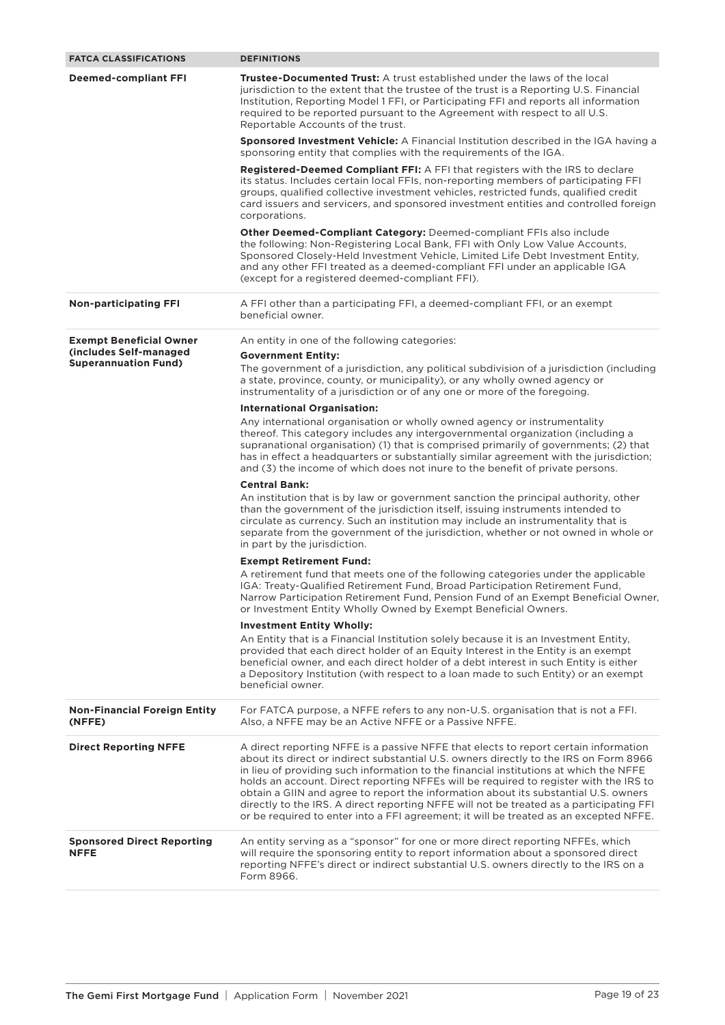| <b>FATCA CLASSIFICATIONS</b>                     | <b>DEFINITIONS</b>                                                                                                                                                                                                                                                                                                                                                                                                                                                                                                                                                                                                                        |
|--------------------------------------------------|-------------------------------------------------------------------------------------------------------------------------------------------------------------------------------------------------------------------------------------------------------------------------------------------------------------------------------------------------------------------------------------------------------------------------------------------------------------------------------------------------------------------------------------------------------------------------------------------------------------------------------------------|
| <b>Deemed-compliant FFI</b>                      | <b>Trustee-Documented Trust:</b> A trust established under the laws of the local<br>jurisdiction to the extent that the trustee of the trust is a Reporting U.S. Financial<br>Institution, Reporting Model 1 FFI, or Participating FFI and reports all information<br>required to be reported pursuant to the Agreement with respect to all U.S.<br>Reportable Accounts of the trust.                                                                                                                                                                                                                                                     |
|                                                  | <b>Sponsored Investment Vehicle:</b> A Financial Institution described in the IGA having a<br>sponsoring entity that complies with the requirements of the IGA.                                                                                                                                                                                                                                                                                                                                                                                                                                                                           |
|                                                  | <b>Registered-Deemed Compliant FFI:</b> A FFI that registers with the IRS to declare<br>its status. Includes certain local FFIs, non-reporting members of participating FFI<br>groups, qualified collective investment vehicles, restricted funds, qualified credit<br>card issuers and servicers, and sponsored investment entities and controlled foreign<br>corporations.                                                                                                                                                                                                                                                              |
|                                                  | Other Deemed-Compliant Category: Deemed-compliant FFIs also include<br>the following: Non-Registering Local Bank, FFI with Only Low Value Accounts,<br>Sponsored Closely-Held Investment Vehicle, Limited Life Debt Investment Entity,<br>and any other FFI treated as a deemed-compliant FFI under an applicable IGA<br>(except for a registered deemed-compliant FFI).                                                                                                                                                                                                                                                                  |
| <b>Non-participating FFI</b>                     | A FFI other than a participating FFI, a deemed-compliant FFI, or an exempt<br>beneficial owner.                                                                                                                                                                                                                                                                                                                                                                                                                                                                                                                                           |
| <b>Exempt Beneficial Owner</b>                   | An entity in one of the following categories:                                                                                                                                                                                                                                                                                                                                                                                                                                                                                                                                                                                             |
| (includes Self-managed                           | <b>Government Entity:</b>                                                                                                                                                                                                                                                                                                                                                                                                                                                                                                                                                                                                                 |
| <b>Superannuation Fund)</b>                      | The government of a jurisdiction, any political subdivision of a jurisdiction (including<br>a state, province, county, or municipality), or any wholly owned agency or<br>instrumentality of a jurisdiction or of any one or more of the foregoing.                                                                                                                                                                                                                                                                                                                                                                                       |
|                                                  | <b>International Organisation:</b>                                                                                                                                                                                                                                                                                                                                                                                                                                                                                                                                                                                                        |
|                                                  | Any international organisation or wholly owned agency or instrumentality<br>thereof. This category includes any intergovernmental organization (including a<br>supranational organisation) (1) that is comprised primarily of governments; (2) that<br>has in effect a headquarters or substantially similar agreement with the jurisdiction;<br>and (3) the income of which does not inure to the benefit of private persons.                                                                                                                                                                                                            |
|                                                  | <b>Central Bank:</b>                                                                                                                                                                                                                                                                                                                                                                                                                                                                                                                                                                                                                      |
|                                                  | An institution that is by law or government sanction the principal authority, other<br>than the government of the jurisdiction itself, issuing instruments intended to<br>circulate as currency. Such an institution may include an instrumentality that is<br>separate from the government of the jurisdiction, whether or not owned in whole or<br>in part by the jurisdiction.                                                                                                                                                                                                                                                         |
|                                                  | <b>Exempt Retirement Fund:</b>                                                                                                                                                                                                                                                                                                                                                                                                                                                                                                                                                                                                            |
|                                                  | A retirement fund that meets one of the following categories under the applicable<br>IGA: Treaty-Qualified Retirement Fund, Broad Participation Retirement Fund,<br>Narrow Participation Retirement Fund, Pension Fund of an Exempt Beneficial Owner,<br>or Investment Entity Wholly Owned by Exempt Beneficial Owners.                                                                                                                                                                                                                                                                                                                   |
|                                                  | <b>Investment Entity Wholly:</b><br>An Entity that is a Financial Institution solely because it is an Investment Entity,<br>provided that each direct holder of an Equity Interest in the Entity is an exempt<br>beneficial owner, and each direct holder of a debt interest in such Entity is either<br>a Depository Institution (with respect to a loan made to such Entity) or an exempt<br>beneficial owner.                                                                                                                                                                                                                          |
| <b>Non-Financial Foreign Entity</b><br>(NFFE)    | For FATCA purpose, a NFFE refers to any non-U.S. organisation that is not a FFI.<br>Also, a NFFE may be an Active NFFE or a Passive NFFE.                                                                                                                                                                                                                                                                                                                                                                                                                                                                                                 |
| <b>Direct Reporting NFFE</b>                     | A direct reporting NFFE is a passive NFFE that elects to report certain information<br>about its direct or indirect substantial U.S. owners directly to the IRS on Form 8966<br>in lieu of providing such information to the financial institutions at which the NFFE<br>holds an account. Direct reporting NFFEs will be required to register with the IRS to<br>obtain a GIIN and agree to report the information about its substantial U.S. owners<br>directly to the IRS. A direct reporting NFFE will not be treated as a participating FFI<br>or be required to enter into a FFI agreement; it will be treated as an excepted NFFE. |
| <b>Sponsored Direct Reporting</b><br><b>NFFE</b> | An entity serving as a "sponsor" for one or more direct reporting NFFEs, which<br>will require the sponsoring entity to report information about a sponsored direct<br>reporting NFFE's direct or indirect substantial U.S. owners directly to the IRS on a<br>Form 8966.                                                                                                                                                                                                                                                                                                                                                                 |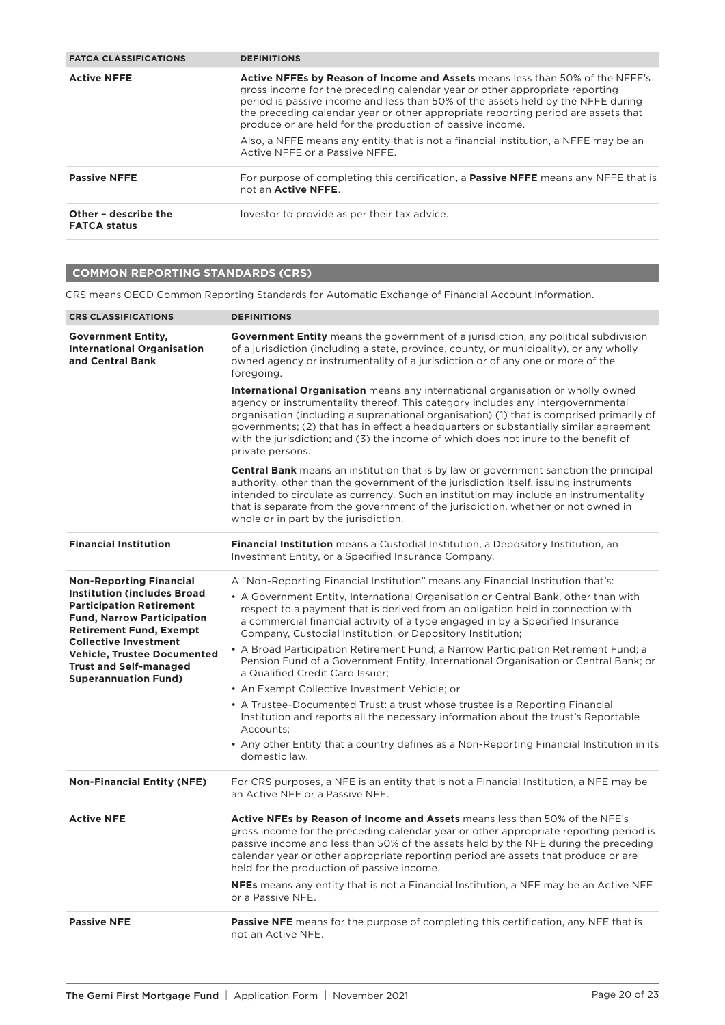| <b>FATCA CLASSIFICATIONS</b>                | <b>DEFINITIONS</b>                                                                                                                                                                                                                                                                                                                                                                                 |
|---------------------------------------------|----------------------------------------------------------------------------------------------------------------------------------------------------------------------------------------------------------------------------------------------------------------------------------------------------------------------------------------------------------------------------------------------------|
| <b>Active NFFE</b>                          | Active NFFEs by Reason of Income and Assets means less than 50% of the NFFE's<br>gross income for the preceding calendar year or other appropriate reporting<br>period is passive income and less than 50% of the assets held by the NFFE during<br>the preceding calendar year or other appropriate reporting period are assets that<br>produce or are held for the production of passive income. |
|                                             | Also, a NFFE means any entity that is not a financial institution, a NFFE may be an<br>Active NFFF or a Passive NFFF.                                                                                                                                                                                                                                                                              |
| <b>Passive NFFE</b>                         | For purpose of completing this certification, a <b>Passive NFFE</b> means any NFFE that is<br>not an Active NFFE.                                                                                                                                                                                                                                                                                  |
| Other - describe the<br><b>FATCA status</b> | Investor to provide as per their tax advice.                                                                                                                                                                                                                                                                                                                                                       |

### **COMMON REPORTING STANDARDS (CRS)**

CRS means OECD Common Reporting Standards for Automatic Exchange of Financial Account Information.

| <b>CRS CLASSIFICATIONS</b>                                                                                                                                                                                                                                                         | <b>DEFINITIONS</b>                                                                                                                                                                                                                                                                                                                                                                                                                                                 |
|------------------------------------------------------------------------------------------------------------------------------------------------------------------------------------------------------------------------------------------------------------------------------------|--------------------------------------------------------------------------------------------------------------------------------------------------------------------------------------------------------------------------------------------------------------------------------------------------------------------------------------------------------------------------------------------------------------------------------------------------------------------|
| <b>Government Entity,</b><br><b>International Organisation</b><br>and Central Bank                                                                                                                                                                                                 | <b>Government Entity</b> means the government of a jurisdiction, any political subdivision<br>of a jurisdiction (including a state, province, county, or municipality), or any wholly<br>owned agency or instrumentality of a jurisdiction or of any one or more of the<br>foregoing.                                                                                                                                                                              |
|                                                                                                                                                                                                                                                                                    | International Organisation means any international organisation or wholly owned<br>agency or instrumentality thereof. This category includes any intergovernmental<br>organisation (including a supranational organisation) (1) that is comprised primarily of<br>governments; (2) that has in effect a headquarters or substantially similar agreement<br>with the jurisdiction; and (3) the income of which does not inure to the benefit of<br>private persons. |
|                                                                                                                                                                                                                                                                                    | <b>Central Bank</b> means an institution that is by law or government sanction the principal<br>authority, other than the government of the jurisdiction itself, issuing instruments<br>intended to circulate as currency. Such an institution may include an instrumentality<br>that is separate from the government of the jurisdiction, whether or not owned in<br>whole or in part by the jurisdiction.                                                        |
| <b>Financial Institution</b>                                                                                                                                                                                                                                                       | <b>Financial Institution</b> means a Custodial Institution, a Depository Institution, an<br>Investment Entity, or a Specified Insurance Company.                                                                                                                                                                                                                                                                                                                   |
| <b>Non-Reporting Financial</b>                                                                                                                                                                                                                                                     | A "Non-Reporting Financial Institution" means any Financial Institution that's:                                                                                                                                                                                                                                                                                                                                                                                    |
| <b>Institution (includes Broad</b><br><b>Participation Retirement</b><br><b>Fund, Narrow Participation</b><br><b>Retirement Fund, Exempt</b><br><b>Collective Investment</b><br><b>Vehicle, Trustee Documented</b><br><b>Trust and Self-managed</b><br><b>Superannuation Fund)</b> | • A Government Entity, International Organisation or Central Bank, other than with<br>respect to a payment that is derived from an obligation held in connection with<br>a commercial financial activity of a type engaged in by a Specified Insurance<br>Company, Custodial Institution, or Depository Institution;                                                                                                                                               |
|                                                                                                                                                                                                                                                                                    | • A Broad Participation Retirement Fund; a Narrow Participation Retirement Fund; a<br>Pension Fund of a Government Entity, International Organisation or Central Bank; or<br>a Qualified Credit Card Issuer;                                                                                                                                                                                                                                                       |
|                                                                                                                                                                                                                                                                                    | • An Exempt Collective Investment Vehicle; or                                                                                                                                                                                                                                                                                                                                                                                                                      |
|                                                                                                                                                                                                                                                                                    | • A Trustee-Documented Trust: a trust whose trustee is a Reporting Financial<br>Institution and reports all the necessary information about the trust's Reportable<br>Accounts;                                                                                                                                                                                                                                                                                    |
|                                                                                                                                                                                                                                                                                    | • Any other Entity that a country defines as a Non-Reporting Financial Institution in its<br>domestic law.                                                                                                                                                                                                                                                                                                                                                         |
| <b>Non-Financial Entity (NFE)</b>                                                                                                                                                                                                                                                  | For CRS purposes, a NFE is an entity that is not a Financial Institution, a NFE may be<br>an Active NFE or a Passive NFE.                                                                                                                                                                                                                                                                                                                                          |
| <b>Active NFE</b>                                                                                                                                                                                                                                                                  | Active NFEs by Reason of Income and Assets means less than 50% of the NFE's<br>gross income for the preceding calendar year or other appropriate reporting period is<br>passive income and less than 50% of the assets held by the NFE during the preceding<br>calendar year or other appropriate reporting period are assets that produce or are<br>held for the production of passive income.                                                                    |
|                                                                                                                                                                                                                                                                                    | NFEs means any entity that is not a Financial Institution, a NFE may be an Active NFE<br>or a Passive NFE.                                                                                                                                                                                                                                                                                                                                                         |
| <b>Passive NFE</b>                                                                                                                                                                                                                                                                 | <b>Passive NFE</b> means for the purpose of completing this certification, any NFE that is<br>not an Active NFE.                                                                                                                                                                                                                                                                                                                                                   |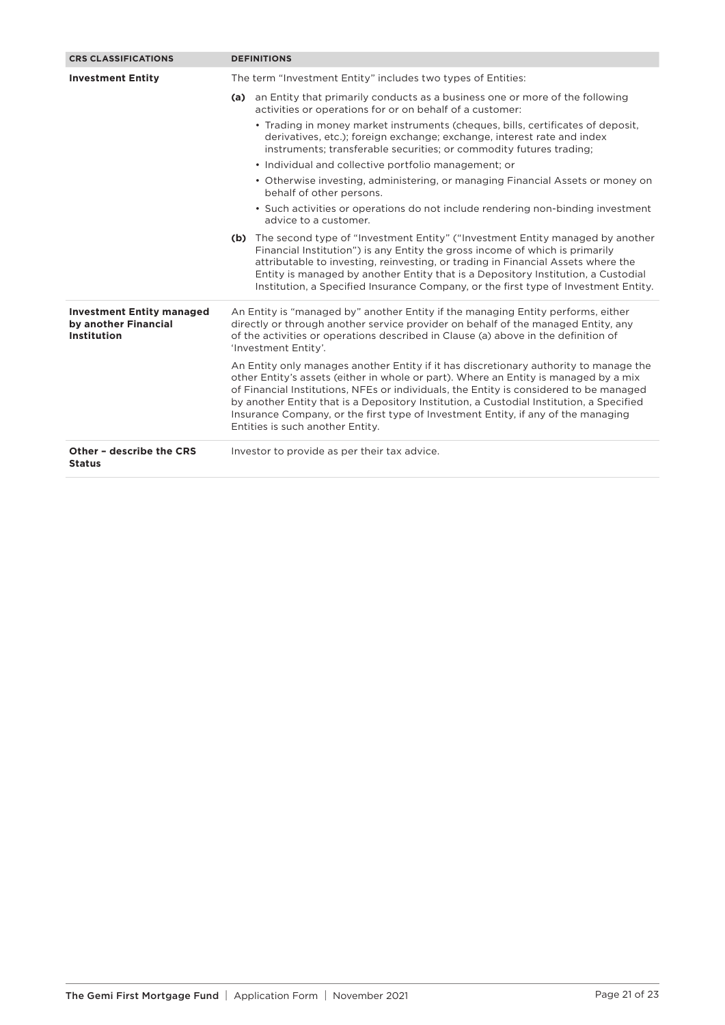| <b>CRS CLASSIFICATIONS</b>                                              | <b>DEFINITIONS</b>                                                                                                                                                                                                                                                                                                                                                                                                                                                                           |  |
|-------------------------------------------------------------------------|----------------------------------------------------------------------------------------------------------------------------------------------------------------------------------------------------------------------------------------------------------------------------------------------------------------------------------------------------------------------------------------------------------------------------------------------------------------------------------------------|--|
| <b>Investment Entity</b>                                                | The term "Investment Entity" includes two types of Entities:                                                                                                                                                                                                                                                                                                                                                                                                                                 |  |
|                                                                         | (a) an Entity that primarily conducts as a business one or more of the following<br>activities or operations for or on behalf of a customer:                                                                                                                                                                                                                                                                                                                                                 |  |
|                                                                         | • Trading in money market instruments (cheques, bills, certificates of deposit,<br>derivatives, etc.); foreign exchange; exchange, interest rate and index<br>instruments; transferable securities; or commodity futures trading;                                                                                                                                                                                                                                                            |  |
|                                                                         | • Individual and collective portfolio management; or                                                                                                                                                                                                                                                                                                                                                                                                                                         |  |
|                                                                         | • Otherwise investing, administering, or managing Financial Assets or money on<br>behalf of other persons.                                                                                                                                                                                                                                                                                                                                                                                   |  |
|                                                                         | • Such activities or operations do not include rendering non-binding investment<br>advice to a customer.                                                                                                                                                                                                                                                                                                                                                                                     |  |
|                                                                         | (b) The second type of "Investment Entity" ("Investment Entity managed by another<br>Financial Institution") is any Entity the gross income of which is primarily<br>attributable to investing, reinvesting, or trading in Financial Assets where the<br>Entity is managed by another Entity that is a Depository Institution, a Custodial<br>Institution, a Specified Insurance Company, or the first type of Investment Entity.                                                            |  |
| <b>Investment Entity managed</b><br>by another Financial<br>Institution | An Entity is "managed by" another Entity if the managing Entity performs, either<br>directly or through another service provider on behalf of the managed Entity, any<br>of the activities or operations described in Clause (a) above in the definition of<br>'Investment Entity'.                                                                                                                                                                                                          |  |
|                                                                         | An Entity only manages another Entity if it has discretionary authority to manage the<br>other Entity's assets (either in whole or part). Where an Entity is managed by a mix<br>of Financial Institutions, NFEs or individuals, the Entity is considered to be managed<br>by another Entity that is a Depository Institution, a Custodial Institution, a Specified<br>Insurance Company, or the first type of Investment Entity, if any of the managing<br>Entities is such another Entity. |  |
| Other - describe the CRS<br><b>Status</b>                               | Investor to provide as per their tax advice.                                                                                                                                                                                                                                                                                                                                                                                                                                                 |  |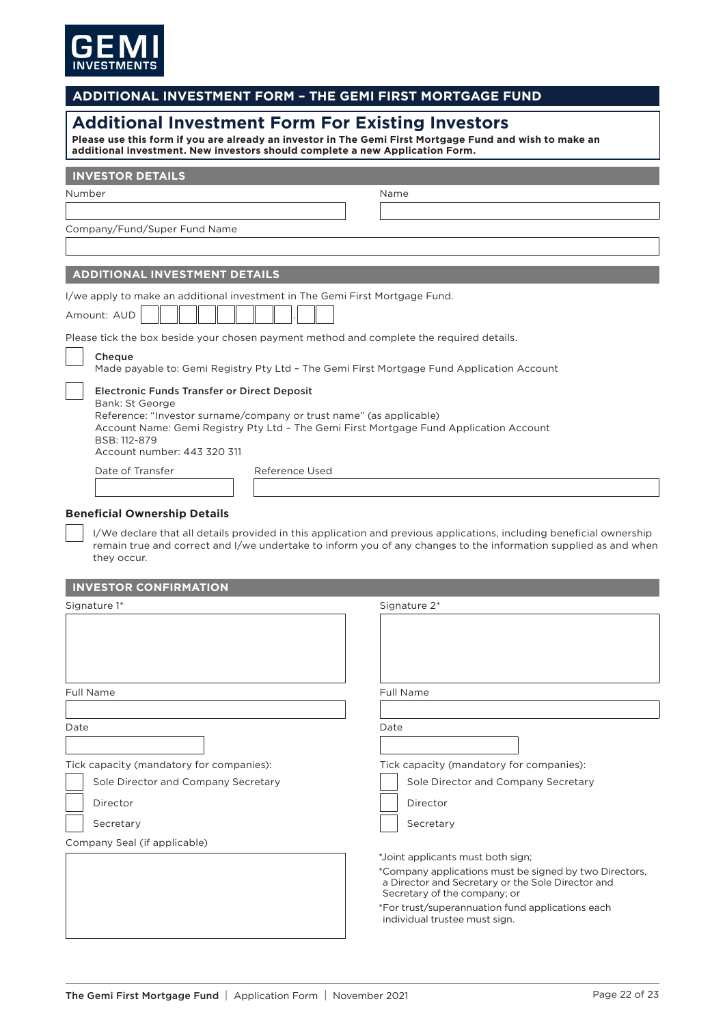

### **ADDITIONAL INVESTMENT FORM – THE GEMI FIRST MORTGAGE FUND**

### **Additional Investment Form For Existing Investors**

**Please use this form if you are already an investor in The Gemi First Mortgage Fund and wish to make an additional investment. New investors should complete a new Application Form.**

#### **INVESTOR DETAILS**

Number Name

Company/Fund/Super Fund Name

### **ADDITIONAL INVESTMENT DETAILS**

|                                                                                          | I/we apply to make an additional investment in The Gemi First Mortgage Fund.                                                                                  |  |  |  |
|------------------------------------------------------------------------------------------|---------------------------------------------------------------------------------------------------------------------------------------------------------------|--|--|--|
| Amount: AUD                                                                              |                                                                                                                                                               |  |  |  |
| Please tick the box beside your chosen payment method and complete the required details. |                                                                                                                                                               |  |  |  |
| Cheque                                                                                   | Made payable to: Gemi Registry Pty Ltd - The Gemi First Mortgage Fund Application Account                                                                     |  |  |  |
| <b>Electronic Funds Transfer or Direct Deposit</b><br>Bank: St George                    |                                                                                                                                                               |  |  |  |
| BSB: 112-879                                                                             | Reference: "Investor surname/company or trust name" (as applicable)<br>Account Name: Gemi Registry Pty Ltd - The Gemi First Mortgage Fund Application Account |  |  |  |
| Account number: 443 320 311                                                              |                                                                                                                                                               |  |  |  |
| Date of Transfer                                                                         | Reference Used                                                                                                                                                |  |  |  |
|                                                                                          |                                                                                                                                                               |  |  |  |

### **Beneficial Ownership Details**

I/We declare that all details provided in this application and previous applications, including beneficial ownership remain true and correct and I/we undertake to inform you of any changes to the information supplied as and when they occur.

### **INVESTOR CONFIRMATION**

| Signature 1*                             | Signature 2*                                                                                                                                |
|------------------------------------------|---------------------------------------------------------------------------------------------------------------------------------------------|
|                                          |                                                                                                                                             |
| Full Name                                | <b>Full Name</b>                                                                                                                            |
| Date                                     | Date                                                                                                                                        |
| Tick capacity (mandatory for companies): | Tick capacity (mandatory for companies):                                                                                                    |
| Sole Director and Company Secretary      | Sole Director and Company Secretary                                                                                                         |
| Director                                 | Director                                                                                                                                    |
| Secretary                                | Secretary                                                                                                                                   |
| Company Seal (if applicable)             |                                                                                                                                             |
|                                          | *Joint applicants must both sign;                                                                                                           |
|                                          | *Company applications must be signed by two Directors,<br>a Director and Secretary or the Sole Director and<br>Secretary of the company; or |
|                                          | *For trust/superannuation fund applications each<br>individual trustee must sign.                                                           |